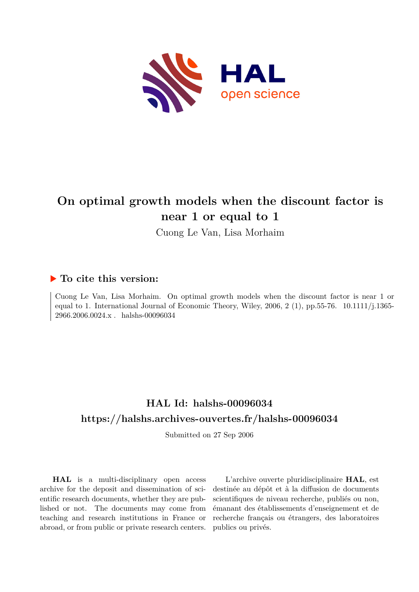

# **On optimal growth models when the discount factor is near 1 or equal to 1**

Cuong Le Van, Lisa Morhaim

### **To cite this version:**

Cuong Le Van, Lisa Morhaim. On optimal growth models when the discount factor is near 1 or equal to 1. International Journal of Economic Theory, Wiley, 2006, 2 (1), pp.55-76.  $10.1111/j.1365 2966.2006.0024.x$  . halshs-00096034  $\,$ 

## **HAL Id: halshs-00096034 <https://halshs.archives-ouvertes.fr/halshs-00096034>**

Submitted on 27 Sep 2006

**HAL** is a multi-disciplinary open access archive for the deposit and dissemination of scientific research documents, whether they are published or not. The documents may come from teaching and research institutions in France or abroad, or from public or private research centers.

L'archive ouverte pluridisciplinaire **HAL**, est destinée au dépôt et à la diffusion de documents scientifiques de niveau recherche, publiés ou non, émanant des établissements d'enseignement et de recherche français ou étrangers, des laboratoires publics ou privés.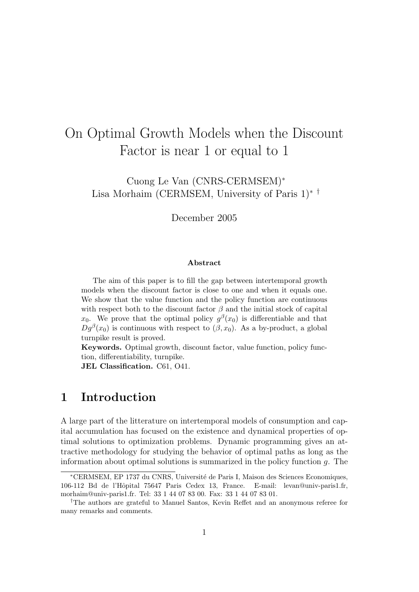# On Optimal Growth Models when the Discount Factor is near 1 or equal to 1

Cuong Le Van (CNRS-CERMSEM)<sup>∗</sup> Lisa Morhaim (CERMSEM, University of Paris 1)∗ †

December 2005

### Abstract

The aim of this paper is to fill the gap between intertemporal growth models when the discount factor is close to one and when it equals one. We show that the value function and the policy function are continuous with respect both to the discount factor  $\beta$  and the initial stock of capital  $x_0$ . We prove that the optimal policy  $g^{\beta}(x_0)$  is differentiable and that  $Dg^{\beta}(x_0)$  is continuous with respect to  $(\beta, x_0)$ . As a by-product, a global turnpike result is proved.

Keywords. Optimal growth, discount factor, value function, policy function, differentiability, turnpike.

JEL Classification. C61, O41.

### 1 Introduction

A large part of the litterature on intertemporal models of consumption and capital accumulation has focused on the existence and dynamical properties of optimal solutions to optimization problems. Dynamic programming gives an attractive methodology for studying the behavior of optimal paths as long as the information about optimal solutions is summarized in the policy function  $q$ . The

<sup>∗</sup>CERMSEM, EP 1737 du CNRS, Universit´e de Paris I, Maison des Sciences Economiques, 106-112 Bd de l'Hˆopital 75647 Paris Cedex 13, France. E-mail: levan@univ-paris1.fr, morhaim@univ-paris1.fr. Tel: 33 1 44 07 83 00. Fax: 33 1 44 07 83 01.

<sup>†</sup>The authors are grateful to Manuel Santos, Kevin Reffet and an anonymous referee for many remarks and comments.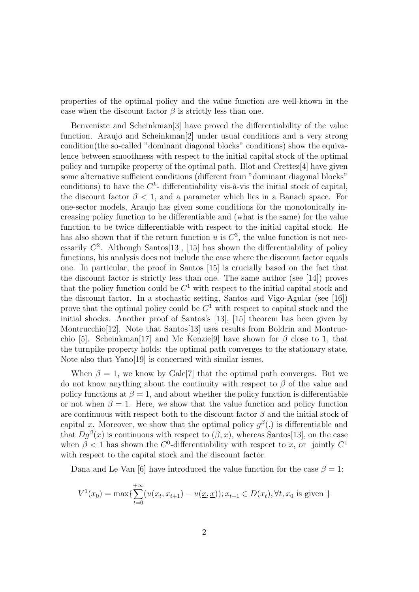properties of the optimal policy and the value function are well-known in the case when the discount factor  $\beta$  is strictly less than one.

Benveniste and Scheinkman[3] have proved the differentiability of the value function. Araujo and Scheinkman[2] under usual conditions and a very strong condition(the so-called "dominant diagonal blocks" conditions) show the equivalence between smoothness with respect to the initial capital stock of the optimal policy and turnpike property of the optimal path. Blot and Crettez[4] have given some alternative sufficient conditions (different from "dominant diagonal blocks" conditions) to have the  $C^k$ - differentiability vis-à-vis the initial stock of capital, the discount factor  $\beta$  < 1, and a parameter which lies in a Banach space. For one-sector models, Araujo has given some conditions for the monotonically increasing policy function to be differentiable and (what is the same) for the value function to be twice differentiable with respect to the initial capital stock. He has also shown that if the return function u is  $C^3$ , the value function is not necessarily  $C^2$ . Although Santos[13], [15] has shown the differentiability of policy functions, his analysis does not include the case where the discount factor equals one. In particular, the proof in Santos [15] is crucially based on the fact that the discount factor is strictly less than one. The same author (see [14]) proves that the policy function could be  $C^1$  with respect to the initial capital stock and the discount factor. In a stochastic setting, Santos and Vigo-Agular (see [16]) prove that the optimal policy could be  $C<sup>1</sup>$  with respect to capital stock and the initial shocks. Another proof of Santos's [13], [15] theorem has been given by Montrucchio[12]. Note that Santos[13] uses results from Boldrin and Montrucchio [5]. Scheinkman<sup>[17]</sup> and Mc Kenzie<sup>[9]</sup> have shown for  $\beta$  close to 1, that the turnpike property holds: the optimal path converges to the stationary state. Note also that Yano[19] is concerned with similar issues.

When  $\beta = 1$ , we know by Gale<sup>[7]</sup> that the optimal path converges. But we do not know anything about the continuity with respect to  $\beta$  of the value and policy functions at  $\beta = 1$ , and about whether the policy function is differentiable or not when  $\beta = 1$ . Here, we show that the value function and policy function are continuous with respect both to the discount factor  $\beta$  and the initial stock of capital x. Moreover, we show that the optimal policy  $g^{\beta}$ . is differentiable and that  $Dg^{\beta}(x)$  is continuous with respect to  $(\beta, x)$ , whereas Santos[13], on the case when  $\beta$  < 1 has shown the C<sup>0</sup>-differentiability with respect to x, or jointly C<sup>1</sup> with respect to the capital stock and the discount factor.

Dana and Le Van [6] have introduced the value function for the case  $\beta = 1$ :

$$
V^{1}(x_{0}) = \max\{\sum_{t=0}^{+\infty} (u(x_{t}, x_{t+1}) - u(\underline{x}, \underline{x})); x_{t+1} \in D(x_{t}), \forall t, x_{0} \text{ is given }\}
$$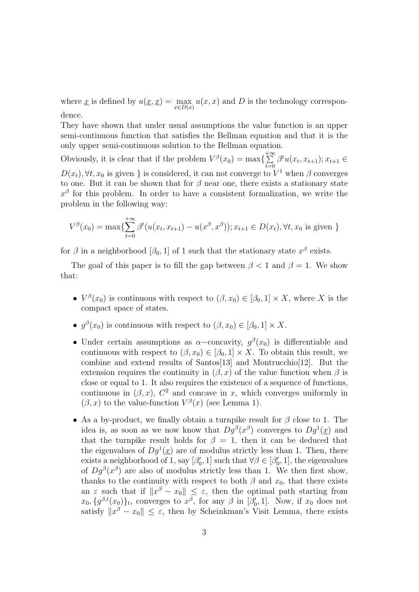where  $\underline{x}$  is defined by  $u(\underline{x}, \underline{x}) = \max_{x \in D(\underline{x})} u(x, x)$  and D is the technology correspondence.

They have shown that under usual assumptions the value function is an upper semi-continuous function that satisfies the Bellman equation and that it is the only upper semi-continuous solution to the Bellman equation.

Obviously, it is clear that if the problem  $V^{\beta}(x_0) = \max\left\{\sum_{n=1}^{+\infty}$  $\sum_{t=0}^{+\infty} \beta^t u(x_t, x_{t+1}); x_{t+1} \in$  $D(x_t)$ ,  $\forall t, x_0$  is given } is considered, it can not converge to  $V^1$  when  $\beta$  converges to one. But it can be shown that for  $\beta$  near one, there exists a stationary state  $x^{\beta}$  for this problem. In order to have a consistent formalization, we write the problem in the following way:

$$
V^{\beta}(x_0) = \max\{\sum_{t=0}^{+\infty} \beta^t (u(x_t, x_{t+1}) - u(x^{\beta}, x^{\beta})); x_{t+1} \in D(x_t), \forall t, x_0 \text{ is given }\}
$$

for  $\beta$  in a neighborhood  $[\beta_0, 1]$  of 1 such that the stationary state  $x^{\beta}$  exists.

The goal of this paper is to fill the gap between  $\beta < 1$  and  $\beta = 1$ . We show that:

- $V^{\beta}(x_0)$  is continuous with respect to  $(\beta, x_0) \in [\beta_0, 1] \times X$ , where X is the compact space of states.
- $g^{\beta}(x_0)$  is continuous with respect to  $(\beta, x_0) \in [\beta_0, 1] \times X$ .
- Under certain assumptions as  $\alpha$ -concavity,  $g^{\beta}(x_0)$  is differentiable and continuous with respect to  $(\beta, x_0) \in [\beta_0, 1] \times X$ . To obtain this result, we combine and extend results of Santos[13] and Montrucchio[12]. But the extension requires the continuity in  $(\beta, x)$  of the value function when  $\beta$  is close or equal to 1. It also requires the existence of a sequence of functions, continuous in  $(\beta, x)$ ,  $C^2$  and concave in x, which converges uniformly in  $(\beta, x)$  to the value-function  $V^{\beta}(x)$  (see Lemma 1).
- As a by-product, we finally obtain a turnpike result for  $\beta$  close to 1. The idea is, as soon as we now know that  $Dg^{\beta}(x^{\beta})$  converges to  $Dg^1(\underline{x})$  and that the turnpike result holds for  $\beta = 1$ , then it can be deduced that the eigenvalues of  $Dg^1(\underline{x})$  are of modulus strictly less than 1. Then, there exists a neighborhood of 1, say  $[\beta'_0, 1]$  such that  $\forall \beta \in [\beta'_0, 1]$ , the eigenvalues of  $Dg^{\beta}(x^{\beta})$  are also of modulus strictly less than 1. We then first show, thanks to the continuity with respect to both  $\beta$  and  $x_0$ , that there exists an  $\varepsilon$  such that if  $||x^{\beta} - x_0|| \leq \varepsilon$ , then the optimal path starting from  $x_0, \{g^{\beta,t}(x_0)\}\_t$ , converges to  $x^{\beta}$ , for any  $\beta$  in  $[\beta'_0, 1]$ . Now, if  $x_0$  does not satisfy  $||x^{\beta} - x_0|| \leq \varepsilon$ , then by Scheinkman's Visit Lemma, there exists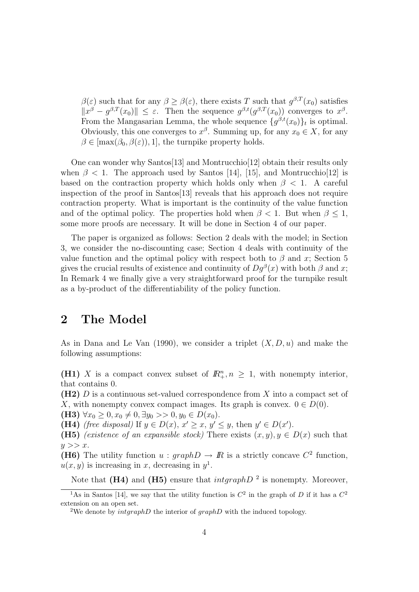$\beta(\varepsilon)$  such that for any  $\beta \geq \beta(\varepsilon)$ , there exists T such that  $g^{\beta,T}(x_0)$  satisfies  $||x^{\beta} - g^{\beta,T}(x_0)|| \leq \varepsilon$ . Then the sequence  $g^{\beta,t}(g^{\beta,T}(x_0))$  converges to  $x^{\beta}$ . From the Mangasarian Lemma, the whole sequence  $\{g^{\beta,t}(x_0)\}_t$  is optimal. Obviously, this one converges to  $x^{\beta}$ . Summing up, for any  $x_0 \in X$ , for any  $\beta \in [\max(\beta_0, \beta(\varepsilon)), 1]$ , the turnpike property holds.

One can wonder why Santos[13] and Montrucchio[12] obtain their results only when  $\beta$  < 1. The approach used by Santos [14], [15], and Montrucchio[12] is based on the contraction property which holds only when  $\beta$  < 1. A careful inspection of the proof in Santos[13] reveals that his approach does not require contraction property. What is important is the continuity of the value function and of the optimal policy. The properties hold when  $\beta < 1$ . But when  $\beta < 1$ , some more proofs are necessary. It will be done in Section 4 of our paper.

The paper is organized as follows: Section 2 deals with the model; in Section 3, we consider the no-discounting case; Section 4 deals with continuity of the value function and the optimal policy with respect both to  $\beta$  and x; Section 5 gives the crucial results of existence and continuity of  $Dg^{\beta}(x)$  with both  $\beta$  and x; In Remark 4 we finally give a very straightforward proof for the turnpike result as a by-product of the differentiability of the policy function.

## 2 The Model

As in Dana and Le Van (1990), we consider a triplet  $(X, D, u)$  and make the following assumptions:

(H1) X is a compact convex subset of  $\mathbb{R}^n_+$ ,  $n \geq 1$ , with nonempty interior, that contains 0.

 $(H2)$  D is a continuous set-valued correspondence from X into a compact set of X, with nonempty convex compact images. Its graph is convex.  $0 \in D(0)$ .

(H3)  $\forall x_0 \geq 0, x_0 \neq 0, \exists y_0 >> 0, y_0 \in D(x_0).$ 

(H4) (free disposal) If  $y \in D(x)$ ,  $x' \ge x$ ,  $y' \le y$ , then  $y' \in D(x')$ .

(H5) *(existence of an expansible stock)* There exists  $(x, y), y \in D(x)$  such that  $y >> x$ .

(H6) The utility function  $u : graphD \to \mathbb{R}$  is a strictly concave  $C^2$  function,  $u(x, y)$  is increasing in x, decreasing in  $y<sup>1</sup>$ .

Note that (H4) and (H5) ensure that  $intgraphD^2$  is nonempty. Moreover,

<sup>&</sup>lt;sup>1</sup>As in Santos [14], we say that the utility function is  $C^2$  in the graph of D if it has a  $C^2$ extension on an open set.

<sup>&</sup>lt;sup>2</sup>We denote by  $intgraphD$  the interior of  $graphD$  with the induced topology.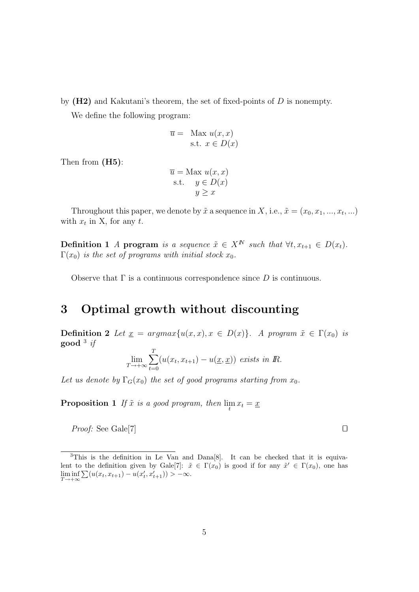by  $(H2)$  and Kakutani's theorem, the set of fixed-points of D is nonempty.

We define the following program:

$$
\overline{u} = \text{Max } u(x, x)
$$
  
s.t.  $x \in D(x)$ 

Then from (H5):

$$
\overline{u} = \text{Max } u(x, x)
$$
  
s.t.  $y \in D(x)$   
 $y \ge x$ 

Throughout this paper, we denote by  $\tilde{x}$  a sequence in X, i.e.,  $\tilde{x} = (x_0, x_1, ..., x_t, ...)$ with  $x_t$  in X, for any t.

Definition 1 A program is a sequence  $\tilde{x} \in X^N$  such that  $\forall t, x_{t+1} \in D(x_t)$ .  $\Gamma(x_0)$  is the set of programs with initial stock  $x_0$ .

Observe that  $\Gamma$  is a continuous correspondence since D is continuous.

## 3 Optimal growth without discounting

Definition 2 Let  $\underline{x} = argmax\{u(x, x), x \in D(x)\}\$ . A program  $\tilde{x} \in \Gamma(x_0)$  is  $\mathbf{good} \; {}^3 \; i\!$ 

$$
\lim_{T \to +\infty} \sum_{t=0}^{T} (u(x_t, x_{t+1}) - u(\underline{x}, \underline{x})) \text{ exists in } \mathbb{R}.
$$

Let us denote by  $\Gamma_G(x_0)$  the set of good programs starting from  $x_0$ .

**Proposition 1** If  $\tilde{x}$  is a good program, then  $\lim_{t} x_t = \underline{x}$ 

*Proof:* See Gale[7]  $\Box$ 

<sup>3</sup>This is the definition in Le Van and Dana[8]. It can be checked that it is equivalent to the definition given by Gale [7]:  $\tilde{x} \in \Gamma(x_0)$  is good if for any  $\tilde{x}' \in \Gamma(x_0)$ , one has  $\liminf_{T \to +\infty} \sum (u(x_t, x_{t+1}) - u(x'_t, x'_{t+1})) > -\infty.$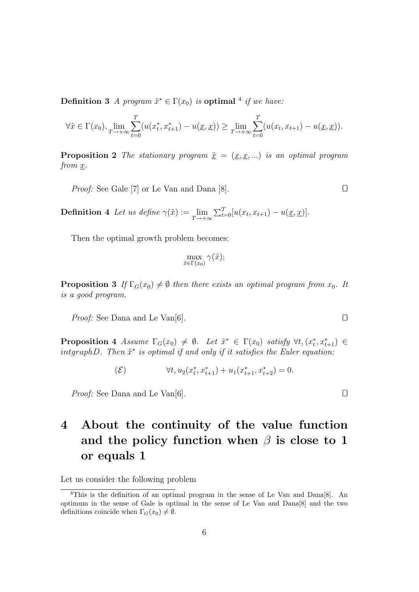**Definition 3** A program  $\tilde{x}^* \in \Gamma(x_0)$  is **optimal** <sup>4</sup> if we have:

$$
\forall \tilde{x} \in \Gamma(x_0), \lim_{T \to +\infty} \sum_{t=0}^T (u(x_t^*, x_{t+1}^*) - u(\underline{x}, \underline{x})) \ge \lim_{T \to +\infty} \sum_{t=0}^T (u(x_t, x_{t+1}) - u(\underline{x}, \underline{x})).
$$

**Proposition 2** The stationary program  $\tilde{x} = (x, x, ...)$  is an optimal program from  $x$ .

*Proof:* See Gale [7] or Le Van and Dana [8].

**Definition 4** Let us define  $\gamma(\tilde{x}) := \lim_{T \to +\infty} \sum_{t=0}^{T} [u(x_t, x_{t+1}) - u(\underline{x}, \underline{x})].$ 

Then the optimal growth problem becomes:

$$
\max_{\tilde{x}\in\Gamma(x_0)}\gamma(\tilde{x});
$$

**Proposition 3** If  $\Gamma_G(x_0) \neq \emptyset$  then there exists an optimal program from  $x_0$ . It is a good program.

*Proof:* See Dana and Le Van[6].  $\Box$ 

**Proposition 4** Assume  $\Gamma_G(x_0) \neq \emptyset$ . Let  $\tilde{x}^* \in \Gamma(x_0)$  satisfy  $\forall t, (x_t^*, x_{t+1}^*) \in$ intgraphD. Then  $\tilde{x}^*$  is optimal if and only if it satisfies the Euler equation:

$$
(\mathcal{E}) \qquad \forall t, u_2(x_t^*, x_{t+1}^*) + u_1(x_{t+1}^*, x_{t+2}^*) = 0.
$$

*Proof:* See Dana and Le Van[6].  $\Box$ 

## 4 About the continuity of the value function and the policy function when  $\beta$  is close to 1 or equals 1

Let us consider the following problem

<sup>4</sup>This is the definition of an optimal program in the sense of Le Van and Dana[8]. An optimum in the sense of Gale is optimal in the sense of Le Van and Dana[8] and the two definitions coincide when  $\Gamma_G(x_0) \neq \emptyset$ .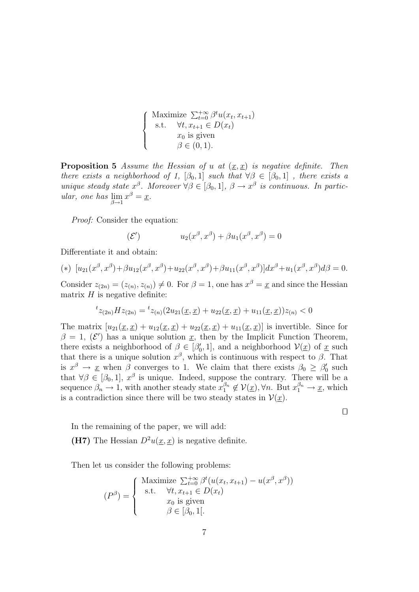$$
\begin{cases}\n\text{Maximize } \sum_{t=0}^{+\infty} \beta^t u(x_t, x_{t+1}) \\
\text{s.t. } \forall t, x_{t+1} \in D(x_t) \\
x_0 \text{ is given} \\
\beta \in (0, 1).\n\end{cases}
$$

**Proposition 5** Assume the Hessian of u at  $(x, x)$  is negative definite. Then there exists a neighborhood of 1,  $[\beta_0, 1]$  such that  $\forall \beta \in [\beta_0, 1]$ , there exists a unique steady state  $x^{\beta}$ . Moreover  $\forall \beta \in [\beta_0, 1], \ \beta \to x^{\beta}$  is continuous. In particular, one has  $\lim_{\beta \to 1} x^{\beta} = \underline{x}$ .

Proof: Consider the equation:

$$
(\mathcal{E}') \qquad \qquad u_2(x^\beta, x^\beta) + \beta u_1(x^\beta, x^\beta) = 0
$$

Differentiate it and obtain:

(\*) 
$$
[u_{21}(x^{\beta}, x^{\beta}) + \beta u_{12}(x^{\beta}, x^{\beta}) + u_{22}(x^{\beta}, x^{\beta}) + \beta u_{11}(x^{\beta}, x^{\beta})]dx^{\beta} + u_{1}(x^{\beta}, x^{\beta})d\beta = 0.
$$

Consider  $z_{(2n)} = (z_{(n)}, z_{(n)}) \neq 0$ . For  $\beta = 1$ , one has  $x^{\beta} = \underline{x}$  and since the Hessian matrix  $H$  is negative definite:

$$
{}^{t}z_{(2n)}Hz_{(2n)} = {}^{t}z_{(n)}(2u_{21}(\underline{x}, \underline{x}) + u_{22}(\underline{x}, \underline{x}) + u_{11}(\underline{x}, \underline{x}))z_{(n)} < 0
$$

The matrix  $[u_{21}(\underline{x}, \underline{x}) + u_{12}(\underline{x}, \underline{x}) + u_{22}(\underline{x}, \underline{x}) + u_{11}(\underline{x}, \underline{x})]$  is invertible. Since for  $\beta = 1, \, (\mathcal{E}')$  has a unique solution x, then by the Implicit Function Theorem, there exists a neighborhood of  $\beta \in [\beta'_0, 1]$ , and a neighborhood  $\mathcal{V}(\underline{x})$  of  $\underline{x}$  such that there is a unique solution  $x^{\beta}$ , which is continuous with respect to  $\beta$ . That is  $x^{\beta} \to \underline{x}$  when  $\beta$  converges to 1. We claim that there exists  $\beta_0 \geq \beta_0$  such that  $\forall \beta \in [\beta_0, 1], x^{\beta}$  is unique. Indeed, suppose the contrary. There will be a sequence  $\beta_n \to 1$ , with another steady state  $x_1^{\beta_n} \notin V(\underline{x})$ ,  $\forall n$ . But  $x_1^{\beta_n} \to \underline{x}$ , which is a contradiction since there will be two steady states in  $\mathcal{V}(\underline{x})$ .

 $\Box$ 

In the remaining of the paper, we will add:

(H7) The Hessian  $D^2u(x, x)$  is negative definite.

Then let us consider the following problems:

$$
(P^{\beta}) = \begin{cases} \text{Maximize } \sum_{t=0}^{+\infty} \beta^{t}(u(x_{t}, x_{t+1}) - u(x^{\beta}, x^{\beta})) \\ \text{s.t.} \quad \forall t, x_{t+1} \in D(x_{t}) \\ x_{0} \text{ is given} \\ \beta \in [\beta_{0}, 1]. \end{cases}
$$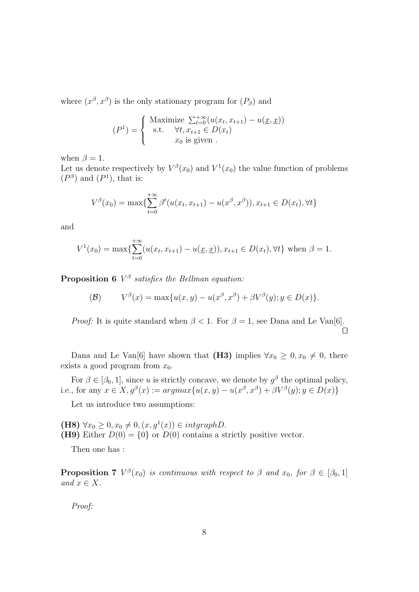where  $(x^{\beta}, x^{\beta})$  is the only stationary program for  $(P_{\beta})$  and

$$
(P1) = \begin{cases} \text{Maximize } \sum_{t=0}^{+\infty} (u(x_t, x_{t+1}) - u(\underline{x}, \underline{x})) \\ \text{s.t. } & \forall t, x_{t+1} \in D(x_t) \\ x_0 \text{ is given } . \end{cases}
$$

when  $\beta = 1$ .

Let us denote respectively by  $V^{\beta}(x_0)$  and  $V^1(x_0)$  the value function of problems  $(P^{\beta})$  and  $(P^1)$ , that is:

$$
V^{\beta}(x_0) = \max\{\sum_{t=0}^{+\infty} \beta^t(u(x_t, x_{t+1}) - u(x^{\beta}, x^{\beta})), x_{t+1} \in D(x_t), \forall t\}
$$

and

$$
V^{1}(x_{0}) = \max\{\sum_{t=0}^{+\infty} (u(x_{t}, x_{t+1}) - u(\underline{x}, \underline{x})), x_{t+1} \in D(x_{t}), \forall t\} \text{ when } \beta = 1.
$$

**Proposition 6**  $V^{\beta}$  satisfies the Bellman equation:

$$
V^{\beta}(x) = \max\{u(x,y) - u(x^{\beta}, x^{\beta}) + \beta V^{\beta}(y); y \in D(x)\}.
$$

*Proof:* It is quite standard when  $\beta < 1$ . For  $\beta = 1$ , see Dana and Le Van[6].  $\Box$ 

Dana and Le Van[6] have shown that (H3) implies  $\forall x_0 \geq 0, x_0 \neq 0$ , there exists a good program from  $x_0$ .

For  $\beta \in [\beta_0, 1]$ , since u is strictly concave, we denote by  $g^{\beta}$  the optimal policy, i.e., for any  $x \in X$ ,  $g^{\beta}(x) := argmax\{u(x, y) - u(x^{\beta}, x^{\beta}) + \beta V^{\beta}(y); y \in D(x)\}\$ 

Let us introduce two assumptions:

(H8)  $\forall x_0 \geq 0, x_0 \neq 0, (x, g^1(x)) \in intgraphD$ . (H9) Either  $D(0) = \{0\}$  or  $D(0)$  contains a strictly positive vector.

Then one has :

**Proposition 7**  $V^{\beta}(x_0)$  is continuous with respect to  $\beta$  and  $x_0$ , for  $\beta \in [\beta_0, 1]$ and  $x \in X$ .

Proof: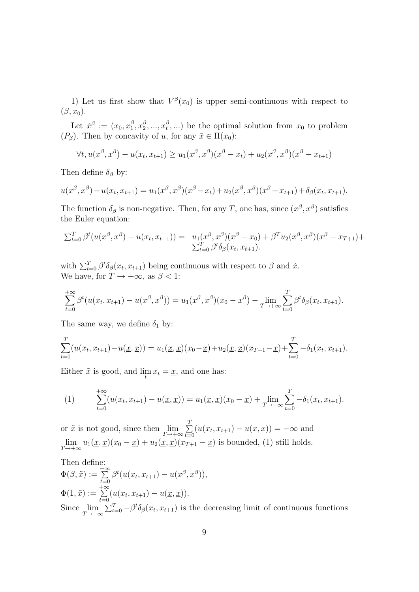1) Let us first show that  $V^{\beta}(x_0)$  is upper semi-continuous with respect to  $(\beta, x_0)$ .

Let  $\tilde{x}^{\beta} := (x_0, x_1^{\beta})$  $_{1}^{\beta},x_{2}^{\beta}$  $x_2^{\beta},...,x_t^{\beta}$  $(t<sup>0</sup>,...)$  be the optimal solution from  $x<sub>0</sub>$  to problem  $(P_\beta)$ . Then by concavity of u, for any  $\tilde{x} \in \Pi(x_0)$ :

$$
\forall t, u(x^{\beta}, x^{\beta}) - u(x_t, x_{t+1}) \ge u_1(x^{\beta}, x^{\beta})(x^{\beta} - x_t) + u_2(x^{\beta}, x^{\beta})(x^{\beta} - x_{t+1})
$$

Then define  $\delta_{\beta}$  by:

$$
u(x^{\beta}, x^{\beta}) - u(x_t, x_{t+1}) = u_1(x^{\beta}, x^{\beta})(x^{\beta} - x_t) + u_2(x^{\beta}, x^{\beta})(x^{\beta} - x_{t+1}) + \delta_{\beta}(x_t, x_{t+1}).
$$

The function  $\delta_{\beta}$  is non-negative. Then, for any T, one has, since  $(x^{\beta}, x^{\beta})$  satisfies the Euler equation:

$$
\sum_{t=0}^{T} \beta^t (u(x^{\beta}, x^{\beta}) - u(x_t, x_{t+1})) = u_1(x^{\beta}, x^{\beta})(x^{\beta} - x_0) + \beta^T u_2(x^{\beta}, x^{\beta})(x^{\beta} - x_{T+1}) + \sum_{t=0}^{T} \beta^t \delta_{\beta}(x_t, x_{t+1}).
$$

with  $\sum_{t=0}^{T} \beta^t \delta_\beta(x_t, x_{t+1})$  being continuous with respect to  $\beta$  and  $\tilde{x}$ . We have, for  $T \to +\infty$ , as  $\beta < 1$ :

$$
\sum_{t=0}^{+\infty} \beta^t (u(x_t, x_{t+1}) - u(x^{\beta}, x^{\beta})) = u_1(x^{\beta}, x^{\beta})(x_0 - x^{\beta}) - \lim_{T \to +\infty} \sum_{t=0}^{T} \beta^t \delta_{\beta}(x_t, x_{t+1}).
$$

The same way, we define  $\delta_1$  by:

$$
\sum_{t=0}^{T} (u(x_t, x_{t+1}) - u(\underline{x}, \underline{x})) = u_1(\underline{x}, \underline{x})(x_0 - \underline{x}) + u_2(\underline{x}, \underline{x})(x_{T+1} - \underline{x}) + \sum_{t=0}^{T} -\delta_1(x_t, x_{t+1}).
$$

Either  $\tilde{x}$  is good, and  $\lim_{t} x_t = \underline{x}$ , and one has:

(1) 
$$
\sum_{t=0}^{+\infty} (u(x_t, x_{t+1}) - u(\underline{x}, \underline{x})) = u_1(\underline{x}, \underline{x})(x_0 - \underline{x}) + \lim_{T \to +\infty} \sum_{t=0}^{T} -\delta_1(x_t, x_{t+1}).
$$

or  $\tilde{x}$  is not good, since then  $\lim_{T \to +\infty} \sum_{t=0}^{T}$  $\sum_{t=0} (u(x_t, x_{t+1}) - u(\underline{x}, \underline{x})) = -\infty$  and  $\lim_{T \to +\infty} u_1(\underline{x}, \underline{x})(x_0 - \underline{x}) + u_2(\underline{x}, \underline{x})(x_{T+1} - \underline{x})$  is bounded, (1) still holds.

Then define:  $\Phi(\beta, \tilde{x}) := \sum_{n=1}^{+\infty}$  $\sum_{t=0}^{+\infty} \beta^t(u(x_t, x_{t+1}) - u(x^{\beta}, x^{\beta})),$  $\Phi(1,\tilde{x}):=\sum_{n=1}^{+\infty}$  $\sum_{t=0} (u(x_t, x_{t+1}) - u(\underline{x}, \underline{x})).$ Since  $\lim_{T\to+\infty}\sum_{t=0}^T-\beta^t\delta_\beta(x_t,x_{t+1})$  is the decreasing limit of continuous functions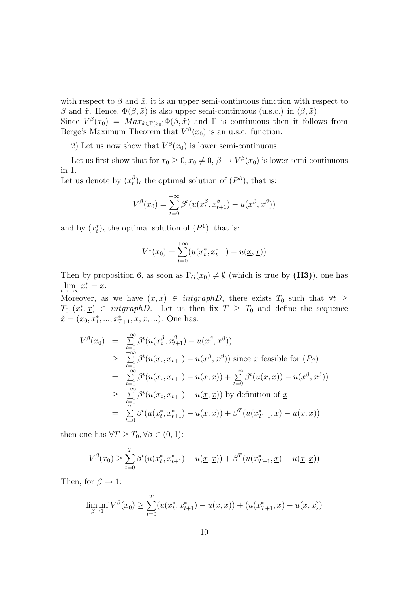with respect to  $\beta$  and  $\tilde{x}$ , it is an upper semi-continuous function with respect to β and  $\tilde{x}$ . Hence,  $\Phi(\beta, \tilde{x})$  is also upper semi-continuous (u.s.c.) in  $(\beta, \tilde{x})$ .

Since  $V^{\beta}(x_0) = Max_{\tilde{x} \in \Gamma(x_0)} \Phi(\beta, \tilde{x})$  and  $\Gamma$  is continuous then it follows from Berge's Maximum Theorem that  $V^{\beta}(x_0)$  is an u.s.c. function.

2) Let us now show that  $V^{\beta}(x_0)$  is lower semi-continuous.

Let us first show that for  $x_0 \geq 0, x_0 \neq 0, \beta \to V^{\beta}(x_0)$  is lower semi-continuous in 1.

Let us denote by  $(x_t^{\beta})$  $(t)$ <sub>t</sub> the optimal solution of  $(P^{\beta})$ , that is:

$$
V^{\beta}(x_0) = \sum_{t=0}^{+\infty} \beta^t(u(x_t^{\beta}, x_{t+1}^{\beta}) - u(x^{\beta}, x^{\beta}))
$$

and by  $(x_t^*)_t$  the optimal solution of  $(P^1)$ , that is:

$$
V^{1}(x_{0}) = \sum_{t=0}^{+\infty} (u(x_{t}^{*}, x_{t+1}^{*}) - u(\underline{x}, \underline{x}))
$$

Then by proposition 6, as soon as  $\Gamma_G(x_0) \neq \emptyset$  (which is true by (H3)), one has  $\lim_{t \to +\infty} x_t^* = \underline{x}.$ 

Moreover, as we have  $(x, x) \in intgraphD$ , there exists  $T_0$  such that  $\forall t \geq$  $T_0, (x_t^*, \underline{x}) \in \text{intgraph } D$ . Let us then fix  $T \geq T_0$  and define the sequence  $\tilde{x} = (x_0, x_1^*, ..., x_{T+1}^*, \underline{x}, \underline{x}, ...)$ . One has:

$$
V^{\beta}(x_0) = \sum_{t=0}^{+\infty} \beta^t (u(x_t^{\beta}, x_{t+1}^{\beta}) - u(x^{\beta}, x^{\beta}))
$$
  
\n
$$
\geq \sum_{t=0}^{+\infty} \beta^t (u(x_t, x_{t+1}) - u(x^{\beta}, x^{\beta})) \text{ since } \tilde{x} \text{ feasible for } (P_{\beta})
$$
  
\n
$$
= \sum_{t=0}^{+\infty} \beta^t (u(x_t, x_{t+1}) - u(\underline{x}, \underline{x})) + \sum_{t=0}^{+\infty} \beta^t (u(\underline{x}, \underline{x})) - u(x^{\beta}, x^{\beta}))
$$
  
\n
$$
\geq \sum_{t=0}^{+\infty} \beta^t (u(x_t, x_{t+1}) - u(\underline{x}, \underline{x})) \text{ by definition of } \underline{x}
$$
  
\n
$$
= \sum_{t=0}^{T} \beta^t (u(x_t^*, x_{t+1}^*) - u(\underline{x}, \underline{x})) + \beta^T (u(x_{T+1}^*, \underline{x}) - u(\underline{x}, \underline{x}))
$$

then one has  $\forall T \geq T_0, \forall \beta \in (0,1)$ :

$$
V^{\beta}(x_0) \ge \sum_{t=0}^{T} \beta^t (u(x_t^*, x_{t+1}^*) - u(\underline{x}, \underline{x})) + \beta^T (u(x_{T+1}^*, \underline{x}) - u(\underline{x}, \underline{x}))
$$

Then, for  $\beta \to 1$ :

$$
\liminf_{\beta \to 1} V^{\beta}(x_0) \ge \sum_{t=0}^T (u(x_t^*, x_{t+1}^*) - u(\underline{x}, \underline{x})) + (u(x_{T+1}^*, \underline{x}) - u(\underline{x}, \underline{x}))
$$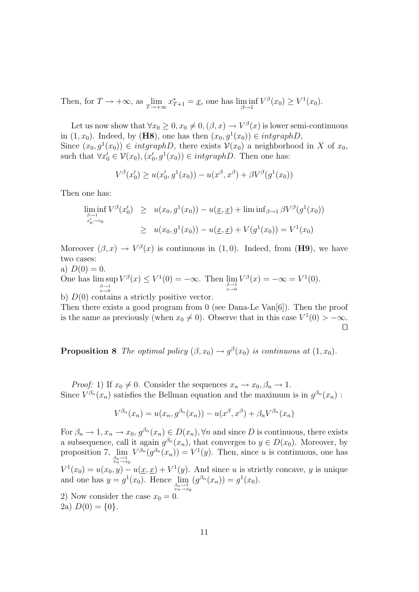Then, for  $T \to +\infty$ , as  $\lim_{T \to +\infty} x_{T+1}^* = \underline{x}$ , one has  $\liminf_{\beta \to 1} V^{\beta}(x_0) \geq V^1(x_0)$ .

Let us now show that  $\forall x_0 \geq 0, x_0 \neq 0, (\beta, x) \rightarrow V^{\beta}(x)$  is lower semi-continuous in  $(1, x_0)$ . Indeed, by (**H8**), one has then  $(x_0, g^1(x_0)) \in intgraphD$ , Since  $(x_0, g^1(x_0)) \in intgraphD$ , there exists  $\mathcal{V}(x_0)$  a neighborhood in X of  $x_0$ , such that  $\forall x'_0 \in \mathcal{V}(x_0), (x'_0, g^1(x_0)) \in intgraphD$ . Then one has:

$$
V^{\beta}(x'_0) \ge u(x'_0, g^1(x_0)) - u(x^{\beta}, x^{\beta}) + \beta V^{\beta}(g^1(x_0))
$$

Then one has:

$$
\liminf_{\substack{\beta \to 1 \\ x'_0 \to x_0}} V^{\beta}(x'_0) \ge u(x_0, g^1(x_0)) - u(\underline{x}, \underline{x}) + \liminf_{\beta \to 1} \beta V^{\beta}(g^1(x_0))
$$
  

$$
\ge u(x_0, g^1(x_0)) - u(\underline{x}, \underline{x}) + V(g^1(x_0)) = V^1(x_0)
$$

Moreover  $(\beta, x) \to V^{\beta}(x)$  is continuous in  $(1, 0)$ . Indeed, from (H9), we have two cases:

a)  $D(0) = 0$ .

One has  $\limsup_{\substack{\beta \to 1 \\ x \to 0}}$  $V^{\beta}(x) \leq V^1(0) = -\infty$ . Then  $\lim_{\substack{\beta \to 1 \\ x \to 0}}$  $V^{\beta}(x) = -\infty = V^1(0).$ 

b)  $D(0)$  contains a strictly positive vector.

Then there exists a good program from 0 (see Dana-Le Van[6]). Then the proof is the same as previously (when  $x_0 \neq 0$ ). Observe that in this case  $V^1(0) > -\infty$ .  $\Box$ 

**Proposition 8** The optimal policy  $(\beta, x_0) \rightarrow g^{\beta}(x_0)$  is continuous at  $(1, x_0)$ .

*Proof:* 1) If  $x_0 \neq 0$ . Consider the sequences  $x_n \to x_0, \beta_n \to 1$ . Since  $V^{\beta_n}(x_n)$  satisfies the Bellman equation and the maximum is in  $g^{\beta_n}(x_n)$ :

$$
V^{\beta_n}(x_n) = u(x_n, g^{\beta_n}(x_n)) - u(x^{\beta}, x^{\beta}) + \beta_n V^{\beta_n}(x_n)
$$

For  $\beta_n \to 1, x_n \to x_0, g^{\beta_n}(x_n) \in D(x_n), \forall n$  and since D is continuous, there exists a subsequence, call it again  $g^{\beta_n}(x_n)$ , that converges to  $y \in D(x_0)$ . Moreover, by proposition 7,  $\lim_{\substack{\beta_n \to 1 \\ x_n \to x_0}}$  $V^{\beta_n}(g^{\beta_n}(x_n)) = V^1(y)$ . Then, since u is continuous, one has  $V^1(x_0) = u(x_0, y) - u(\underline{x}, \underline{x}) + V^1(y)$ . And since u is strictly concave, y is unique and one has  $y = g^1(x_0)$ . Hence  $\lim_{\substack{\beta_n \to 1 \\ x_n \to x_0}}$  $(g^{\beta_n}(x_n)) = g^1(x_0).$ 

2) Now consider the case  $x_0 = 0$ . 2a)  $D(0) = \{0\}.$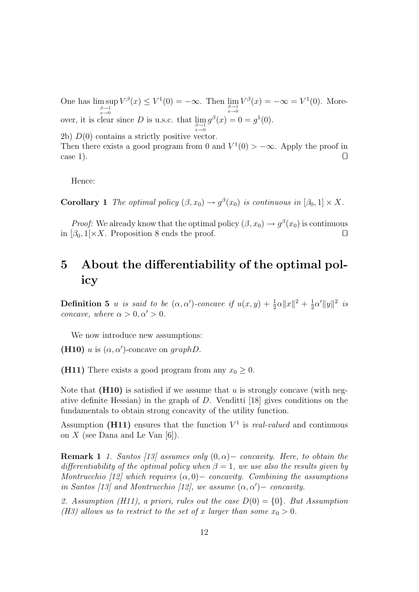One has  $\limsup_{\substack{\beta \to 1 \\ x \to 0}}$  $V^{\beta}(x) \leq V^1(0) = -\infty$ . Then  $\lim_{\substack{\beta \to 1 \\ x \to 0}}$  $V^{\beta}(x) = -\infty = V^1(0)$ . Moreover, it is clear since D is u.s.c. that  $\lim_{\substack{\beta \to 1 \\ x \to 0}}$  $g^{\beta}(x) = 0 = g^1(0).$ 2b)  $D(0)$  contains a strictly positive vector.

Then there exists a good program from 0 and  $V^1(0) > -\infty$ . Apply the proof in case 1).

Hence:

**Corollary 1** The optimal policy  $(\beta, x_0) \rightarrow g^{\beta}(x_0)$  is continuous in  $[\beta_0, 1] \times X$ .

*Proof:* We already know that the optimal policy  $(\beta, x_0) \to g^{\beta}(x_0)$  is continuous in  $[\beta_0, 1] \times X$ . Proposition 8 ends the proof.

## 5 About the differentiability of the optimal policy

**Definition 5** u is said to be  $(\alpha, \alpha')$ -concave if  $u(x, y) + \frac{1}{2}\alpha ||x||^2 + \frac{1}{2}$  $\frac{1}{2}\alpha' \|y\|^2$  is concave, where  $\alpha > 0, \alpha' > 0$ .

We now introduce new assumptions:

(H10) u is  $(\alpha, \alpha')$ -concave on graphD.

(H11) There exists a good program from any  $x_0 \geq 0$ .

Note that  $(H10)$  is satisfied if we assume that u is strongly concave (with negative definite Hessian) in the graph of D. Venditti [18] gives conditions on the fundamentals to obtain strong concavity of the utility function.

Assumption (H11) ensures that the function  $V^1$  is *real-valued* and continuous on  $X$  (see Dana and Le Van [6]).

**Remark 1** 1. Santos [13] assumes only  $(0, \alpha)$  – concavity. Here, to obtain the differentiability of the optimal policy when  $\beta = 1$ , we use also the results given by Montrucchio [12] which requires  $(\alpha, 0)$  – concavity. Combining the assumptions in Santos [13] and Montrucchio [12], we assume  $(\alpha, \alpha')$  – concavity.

2. Assumption (H11), a priori, rules out the case  $D(0) = \{0\}$ . But Assumption (H3) allows us to restrict to the set of x larger than some  $x_0 > 0$ .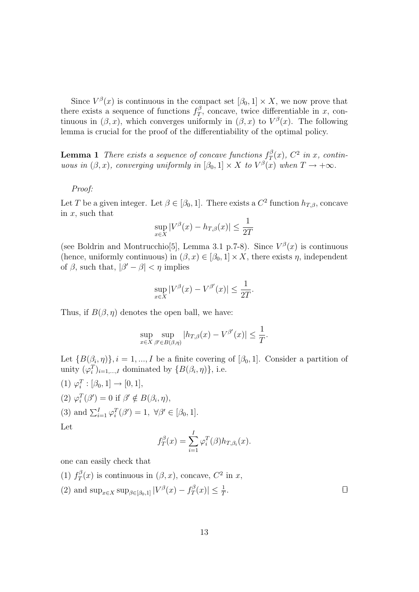Since  $V^{\beta}(x)$  is continuous in the compact set  $[\beta_0, 1] \times X$ , we now prove that there exists a sequence of functions  $f_T^{\beta}$  $T<sub>T</sub>$ , concave, twice differentiable in x, continuous in  $(\beta, x)$ , which converges uniformly in  $(\beta, x)$  to  $V^{\beta}(x)$ . The following lemma is crucial for the proof of the differentiability of the optimal policy.

**Lemma 1** There exists a sequence of concave functions  $f_T^{\beta}$  $T^{\beta}(x)$ ,  $C^2$  in x, continuous in  $(\beta, x)$ , converging uniformly in  $[\beta_0, 1] \times X$  to  $V^{\beta}(x)$  when  $T \to +\infty$ .

### Proof:

Let T be a given integer. Let  $\beta \in [\beta_0, 1]$ . There exists a  $C^2$  function  $h_{T, \beta}$ , concave in  $x$ , such that

$$
\sup_{x \in X} |V^{\beta}(x) - h_{T,\beta}(x)| \le \frac{1}{2T}
$$

(see Boldrin and Montrucchio<sup>[5]</sup>, Lemma 3.1 p.7-8). Since  $V^{\beta}(x)$  is continuous (hence, uniformly continuous) in  $(\beta, x) \in [\beta_0, 1] \times X$ , there exists  $\eta$ , independent of  $\beta$ , such that,  $|\beta' - \beta| < \eta$  implies

$$
\sup_{x \in X} |V^{\beta}(x) - V^{\beta'}(x)| \le \frac{1}{2T}.
$$

Thus, if  $B(\beta, \eta)$  denotes the open ball, we have:

$$
\sup_{x \in X} \sup_{\beta' \in B(\beta,\eta)} |h_{T,\beta}(x) - V^{\beta'}(x)| \le \frac{1}{T}.
$$

Let  $\{B(\beta_i, \eta)\}\$ ,  $i = 1, ..., I$  be a finite covering of  $[\beta_0, 1]$ . Consider a partition of unity  $(\varphi_i^T)_{i=1,\dots,I}$  dominated by  $\{B(\beta_i, \eta)\}\$ , i.e.

(1)  $\varphi_i^T : [\beta_0, 1] \to [0, 1],$ (2)  $\varphi_i^T(\beta') = 0$  if  $\beta' \notin B(\beta_i, \eta)$ , (3) and  $\sum_{i=1}^{I} \varphi_i^T(\beta') = 1$ ,  $\forall \beta' \in [\beta_0, 1]$ . Let I

$$
f_T^{\beta}(x) = \sum_{i=1}^I \varphi_i^T(\beta) h_{T,\beta_i}(x).
$$

one can easily check that

- $(1)$   $f_T^{\beta}$  $T(T/T)$  is continuous in  $(\beta, x)$ , concave,  $C^2$  in x,
- (2) and  $\sup_{x \in X} \sup_{\beta \in [\beta_0,1]} |V^{\beta}(x) f^{\beta}_T$  $\vert T^{\beta}(x)\vert \leq \frac{1}{T}$ . The contract of the contract of  $\Box$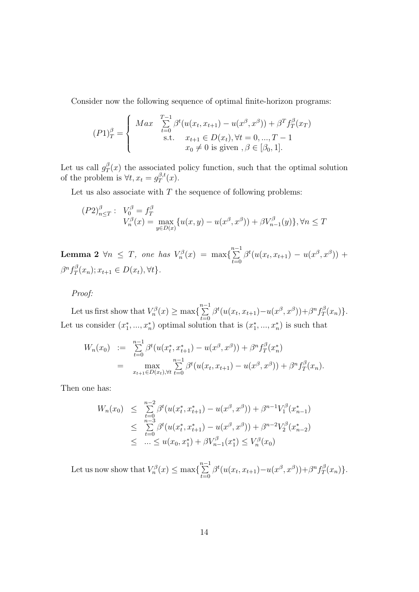Consider now the following sequence of optimal finite-horizon programs:

$$
(P1)_{T}^{\beta} = \begin{cases} Max \sum_{t=0}^{T-1} \beta^{t} (u(x_{t}, x_{t+1}) - u(x^{\beta}, x^{\beta})) + \beta^{T} f_{T}^{\beta}(x_{T}) \\ \text{s.t.} \quad x_{t+1} \in D(x_{t}), \forall t = 0, ..., T-1 \\ x_{0} \neq 0 \text{ is given}, \beta \in [\beta_{0}, 1]. \end{cases}
$$

Let us call  $g_{\tau}^{\beta}$  $T(x)$  the associated policy function, such that the optimal solution of the problem is  $\forall t, x_t = g_T^{\beta, t}$  $T^{0,t}(x).$ 

Let us also associate with  $T$  the sequence of following problems:

$$
(P2)_{n \leq T}^{\beta} : V_0^{\beta} = f_T^{\beta}
$$
  

$$
V_n^{\beta}(x) = \max_{y \in D(x)} \{ u(x, y) - u(x^{\beta}, x^{\beta}) + \beta V_{n-1}^{\beta}(y) \}, \forall n \leq T
$$

**Lemma 2**  $\forall n \leq T$ , one has  $V_n^{\beta}(x) = \max\{\sum_{i=1}^{n-1}$  $\sum_{t=0}^{\infty} \beta^t(u(x_t, x_{t+1}) - u(x^{\beta}, x^{\beta})) +$  $\beta^nf_T^\beta$  $T^{\beta}(x_n); x_{t+1} \in D(x_t), \forall t \}.$ 

Proof:

Let us first show that  $V_n^{\beta}(x) \ge \max\left\{\sum_{n=1}^{n-1} \alpha_n\right\}$  $\sum_{t=0}^{n-1} \beta^t(u(x_t, x_{t+1}) - u(x^{\beta}, x^{\beta})) + \beta^n f_T^{\beta}$  $T^{\beta}(x_n)\}.$ Let us consider  $(x_1^*,...,x_n^*)$  optimal solution that is  $(x_1^*,...,x_n^*)$  is such that

$$
W_n(x_0) := \sum_{t=0}^{n-1} \beta^t (u(x_t^*, x_{t+1}^*) - u(x^\beta, x^\beta)) + \beta^n f_T^\beta(x_n^*)
$$
  
= 
$$
\max_{x_{t+1} \in D(x_t), \forall t} \sum_{t=0}^{n-1} \beta^t (u(x_t, x_{t+1}) - u(x^\beta, x^\beta)) + \beta^n f_T^\beta(x_n).
$$

Then one has:

$$
W_n(x_0) \leq \sum_{t=0}^{n-2} \beta^t (u(x_t^*, x_{t+1}^*) - u(x^\beta, x^\beta)) + \beta^{n-1} V_1^\beta(x_{n-1}^*)
$$
  

$$
\leq \sum_{t=0}^{n-3} \beta^t (u(x_t^*, x_{t+1}^*) - u(x^\beta, x^\beta)) + \beta^{n-2} V_2^\beta(x_{n-2}^*)
$$
  

$$
\leq \dots \leq u(x_0, x_1^*) + \beta V_{n-1}^\beta(x_1^*) \leq V_n^\beta(x_0)
$$

Let us now show that  $V_n^{\beta}(x) \leq \max\left\{\sum_{n=1}^{n-1} \alpha_n\right\}$  $\sum_{t=0}^{n-1} \beta^t(u(x_t, x_{t+1}) - u(x^{\beta}, x^{\beta})) + \beta^n f_T^{\beta}$  $T^{\beta}(x_n)\}.$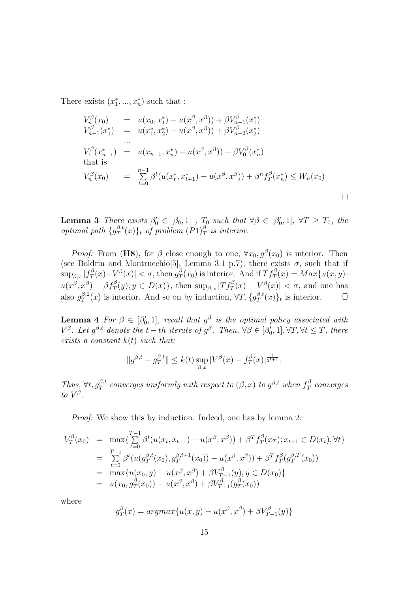There exists  $(x_1^*,...,x_n^*)$  such that :

$$
V_n^{\beta}(x_0) = u(x_0, x_1^*) - u(x^{\beta}, x^{\beta}) + \beta V_{n-1}^{\beta}(x_1^*)
$$
  
\n
$$
V_{n-1}^{\beta}(x_1^*) = u(x_1^*, x_2^*) - u(x^{\beta}, x^{\beta}) + \beta V_{n-2}^{\beta}(x_2^*)
$$
  
\n...  
\n
$$
V_1^{\beta}(x_{n-1}^*) = u(x_{n-1}, x_n^*) - u(x^{\beta}, x^{\beta}) + \beta V_0^{\beta}(x_n^*)
$$
  
\nthat is  
\n
$$
V_n^{\beta}(x_0) = \sum_{t=0}^{n-1} \beta^t(u(x_t^*, x_{t+1}^*) - u(x^{\beta}, x^{\beta}) + \beta^n f_T^{\beta}(x_n^*) \leq W_n(x_0)
$$

**Lemma 3** There exists  $\beta'_0 \in [\beta_0, 1]$ ,  $T_0$  such that  $\forall \beta \in [\beta'_0, 1]$ ,  $\forall T \geq T_0$ , the optimal path  $\{g_T^{\beta,t}$  $\int_T^{\beta,t}(x)\}_t$  of problem  $(P1)_T^{\beta}$  is interior.

*Proof:* From (H8), for  $\beta$  close enough to one,  $\forall x_0, g^{\beta}(x_0)$  is interior. Then (see Boldrin and Montrucchio<sup>[5]</sup>, Lemma 3.1 p.7), there exists  $\sigma$ , such that if  $\sup_{\beta,x}|f_{T}^{\beta}$  $\left|\frac{\partial}{\partial T}(x) - V^{\beta}(x)\right| < \sigma$ , then  $g_T^{\beta}$  $T(T(T_0)$  is interior. And if  $Tf_T^{\beta}(x) = Max\{u(x, y)$  $u(x^{\beta},x^{\beta}) + \beta f_T^{\beta}(y); y \in D(x) \},\$  then  $\sup_{\beta,x} |Tf_T^{\beta}(x) - V^{\beta}(x)| < \sigma$ , and one has also  $g_T^{\beta,2}$  $T_T^{\beta,2}(x)$  is interior. And so on by induction,  $\forall T, \{g_T^{\beta,t}\}$  $T_T^{\beta,t}(x)$ <sub>t</sub> is interior.  $\Box$ 

**Lemma 4** For  $\beta \in [\beta_0', 1]$ , recall that  $g^{\beta}$  is the optimal policy associated with  $V^{\beta}$ . Let  $g^{\beta,t}$  denote the  $t-th$  iterate of  $g^{\beta}$ . Then,  $\forall \beta \in [\beta'_0,1], \forall T, \forall t \leq T$ , there exists a constant  $k(t)$  such that:

$$
||g^{\beta,t}-g^{\beta,t}_T|| \leq k(t) \sup_{\beta,x}|V^{\beta}(x)-f^{\beta}_T(x)|^{\frac{1}{2^{t+1}}}.
$$

Thus,  $\forall t, g_T^{\beta,t}$  converges uniformly with respect to  $(\beta, x)$  to  $g^{\beta,t}$  when  $f_T^{\beta}$  $T^{\beta}$  converges to  $V^{\beta}$ .

Proof: We show this by induction. Indeed, one has by lemma 2:

$$
V_T^{\beta}(x_0) = \max \{ \sum_{t=0}^{T-1} \beta^t (u(x_t, x_{t+1}) - u(x^{\beta}, x^{\beta})) + \beta^T f_T^{\beta}(x_T); x_{t+1} \in D(x_t), \forall t \}
$$
  
\n
$$
= \sum_{t=0}^{T-1} \beta^t (u(g_T^{\beta, t}(x_0), g_T^{\beta, t+1}(x_0)) - u(x^{\beta}, x^{\beta})) + \beta^T f_T^{\beta}(g_T^{\beta, T}(x_0))
$$
  
\n
$$
= \max \{ u(x_0, y) - u(x^{\beta}, x^{\beta}) + \beta V_{T-1}^{\beta}(y); y \in D(x_0) \}
$$
  
\n
$$
= u(x_0, g_T^{\beta}(x_0)) - u(x^{\beta}, x^{\beta}) + \beta V_{T-1}^{\beta}(g_T^{\beta}(x_0))
$$

where

$$
g_T^{\beta}(x) = argmax\{u(x, y) - u(x^{\beta}, x^{\beta}) + \beta V_{T-1}^{\beta}(y)\}\
$$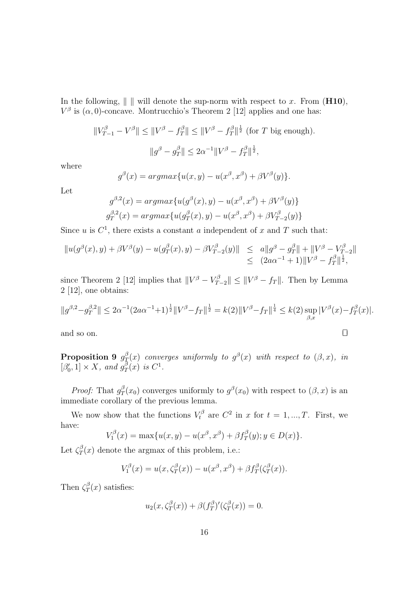In the following,  $\|\cdot\|$  will denote the sup-norm with respect to x. From (H10),  $V^{\beta}$  is  $(\alpha, 0)$ -concave. Montrucchio's Theorem 2 [12] applies and one has:

$$
||V_{T-1}^{\beta} - V^{\beta}|| \le ||V^{\beta} - f_T^{\beta}|| \le ||V^{\beta} - f_T^{\beta}||^{\frac{1}{2}} \text{ (for } T \text{ big enough)}.
$$
  

$$
||g^{\beta} - g_T^{\beta}|| \le 2\alpha^{-1}||V^{\beta} - f_T^{\beta}||^{\frac{1}{2}},
$$

where

$$
g^{\beta}(x) = argmax\{u(x,y) - u(x^{\beta}, x^{\beta}) + \beta V^{\beta}(y)\}.
$$

Let

$$
g^{\beta,2}(x) = argmax\{u(g^{\beta}(x), y) - u(x^{\beta}, x^{\beta}) + \beta V^{\beta}(y)\}\
$$

$$
g_T^{\beta,2}(x) = argmax\{u(g_T^{\beta}(x), y) - u(x^{\beta}, x^{\beta}) + \beta V_{T-2}^{\beta}(y)\}\
$$

Since u is  $C^1$ , there exists a constant a independent of x and T such that:

$$
||u(g^{\beta}(x), y) + \beta V^{\beta}(y) - u(g_T^{\beta}(x), y) - \beta V_{T-2}^{\beta}(y)|| \leq a||g^{\beta} - g_T^{\beta}|| + ||V^{\beta} - V_{T-2}^{\beta}||
$$
  

$$
\leq (2a\alpha^{-1} + 1)||V^{\beta} - f_T^{\beta}||^{\frac{1}{2}},
$$

since Theorem 2 [12] implies that  $||V^{\beta} - V_{T-2}^{\beta}|| \le ||V^{\beta} - f_T||$ . Then by Lemma 2 [12], one obtains:

$$
||g^{\beta,2}-g_T^{\beta,2}|| \leq 2\alpha^{-1}(2a\alpha^{-1}+1)^{\frac{1}{2}}||V^{\beta}-f_T||^{\frac{1}{2}} = k(2)||V^{\beta}-f_T||^{\frac{1}{4}} \leq k(2)\sup_{\beta,x}|V^{\beta}(x)-f_T^{\beta}(x)|.
$$

and so on.  $\Box$ 

Proposition 9  $g_T^{\beta}$  $\mathcal{L}^{\beta}_T(x)$  converges uniformly to  $g^{\beta}(x)$  with respect to  $(\beta,x),$  in  $[\beta'_0, 1] \times X$ , and  $g_T^{\bar{\beta}}$  $T^{\beta}(x)$  is  $C^1$ .

*Proof:* That  $g_{\tau}^{\beta}$  $T(T(x_0)$  converges uniformly to  $g^{\beta}(x_0)$  with respect to  $(\beta, x)$  is an immediate corollary of the previous lemma.

We now show that the functions  $V_t^{\beta}$  are  $C^2$  in x for  $t = 1, ..., T$ . First, we have:

$$
V_1^{\beta}(x) = \max\{u(x, y) - u(x^{\beta}, x^{\beta}) + \beta f_T^{\beta}(y); y \in D(x)\}.
$$

Let  $\zeta^{\beta}_T$  $T(T(x))$  denote the argmax of this problem, i.e.:

$$
V_1^{\beta}(x) = u(x, \zeta_T^{\beta}(x)) - u(x^{\beta}, x^{\beta}) + \beta f_T^{\beta}(\zeta_T^{\beta}(x)).
$$

Then  $\zeta^{\beta}_{\tau}$  $T(x)$  satisfies:

$$
u_2(x,\zeta_T^{\beta}(x)) + \beta (f_T^{\beta})'(\zeta_T^{\beta}(x)) = 0.
$$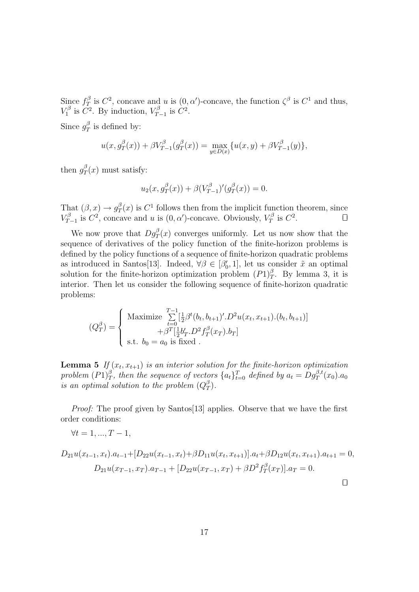Since  $f_T^{\beta}$  $T^{\beta}$  is  $C^2$ , concave and u is  $(0, \alpha')$ -concave, the function  $\zeta^{\beta}$  is  $C^1$  and thus,  $V_1^{\beta}$  $V_1^{\beta}$  is  $\overline{C}^2$ . By induction,  $V_T^{\beta}$  $T_{T-1}^{\beta}$  is  $C^2$ .

Since  $g_{7}^{\beta}$  $T$ <sup>p</sup> is defined by:

$$
u(x, g_T^{\beta}(x)) + \beta V_{T-1}^{\beta}(g_T^{\beta}(x)) = \max_{y \in D(x)} \{u(x, y) + \beta V_{T-1}^{\beta}(y)\},\
$$

then  $g_{\tau}^{\beta}$  $T(T)$  must satisfy:

$$
u_2(x, g_T^{\beta}(x)) + \beta (V_{T-1}^{\beta})'(g_T^{\beta}(x)) = 0.
$$

That  $(\beta, x) \rightarrow g_{\tau}^{\beta}$  $T(T(x))$  is  $C<sup>1</sup>$  follows then from the implicit function theorem, since  $V^{\beta}_T$  $T_{T-1}^{\beta}$  is  $C^2$ , concave and u is  $(0, \alpha')$ -concave. Obviously,  $V_T^{\beta}$  $T^{\beta}$  is  $C^2$ .

We now prove that  $Dg_T^{\beta}(x)$  converges uniformly. Let us now show that the sequence of derivatives of the policy function of the finite-horizon problems is defined by the policy functions of a sequence of finite-horizon quadratic problems as introduced in Santos[13]. Indeed,  $\forall \beta \in [\beta'_0, 1]$ , let us consider  $\tilde{x}$  an optimal solution for the finite-horizon optimization problem  $(P1)_{T}^{\beta}$ . By lemma 3, it is interior. Then let us consider the following sequence of finite-horizon quadratic problems:

$$
(Q_T^{\beta}) = \begin{cases} \text{Maximize } \sum_{t=0}^{T-1} \left[\frac{1}{2}\beta^t (b_t, b_{t+1})'.D^2 u(x_t, x_{t+1}).(b_t, b_{t+1})\right] \\ + \beta^T \left[\frac{1}{2}b'_T.D^2 f_T^{\beta}(x_T).b_T\right] \\ \text{s.t. } b_0 = a_0 \text{ is fixed}. \end{cases}
$$

**Lemma 5** If  $(x_t, x_{t+1})$  is an interior solution for the finite-horizon optimization problem  $(P1)_{T}^{\beta}$ , then the sequence of vectors  $\{a_t\}_{t=0}^{T}$  defined by  $a_t = Dg_T^{\beta,t}(x_0) . a_0$ is an optimal solution to the problem  $(Q_T^{\beta})$  $_T^{\beta}$ .

Proof: The proof given by Santos [13] applies. Observe that we have the first order conditions:

$$
\forall t = 1, ..., T - 1,
$$

$$
D_{21}u(x_{t-1},x_t).a_{t-1}+[D_{22}u(x_{t-1},x_t)+\beta D_{11}u(x_t,x_{t+1})].a_t+\beta D_{12}u(x_t,x_{t+1}).a_{t+1}=0,
$$
  

$$
D_{21}u(x_{T-1},x_T).a_{T-1}+[D_{22}u(x_{T-1},x_T)+\beta D^2f_T^{\beta}(x_T)].a_T=0.
$$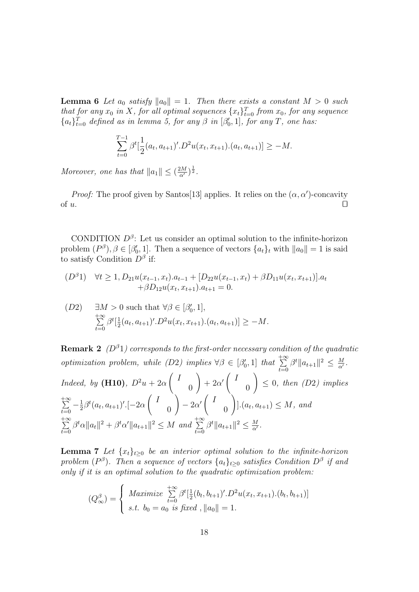**Lemma 6** Let  $a_0$  satisfy  $||a_0|| = 1$ . Then there exists a constant  $M > 0$  such that for any  $x_0$  in X, for all optimal sequences  $\{x_t\}_{t=0}^T$  from  $x_0$ , for any sequence  ${a_t}_{t=0}^T$  defined as in lemma 5, for any  $\beta$  in  $[\beta'_0, 1]$ , for any T, one has:

$$
\sum_{t=0}^{T-1} \beta^t \left[ \frac{1}{2} (a_t, a_{t+1})'.D^2 u(x_t, x_{t+1}).(a_t, a_{t+1}) \right] \ge -M.
$$

Moreover, one has that  $||a_1|| \leq (\frac{2M}{\alpha'})^{\frac{1}{2}}$ .

*Proof:* The proof given by Santos[13] applies. It relies on the  $(\alpha, \alpha')$ -concavity of  $u$ .

CONDITION  $D^{\beta}$ : Let us consider an optimal solution to the infinite-horizon problem  $(P^{\beta}), \beta \in [\beta'_0, 1]$ . Then a sequence of vectors  $\{a_t\}_t$  with  $||a_0|| = 1$  is said to satisfy Condition  $D^{\beta}$  if:

$$
(D^{\beta}1) \quad \forall t \ge 1, D_{21}u(x_{t-1}, x_t).a_{t-1} + [D_{22}u(x_{t-1}, x_t) + \beta D_{11}u(x_t, x_{t+1})].a_t + \beta D_{12}u(x_t, x_{t+1}).a_{t+1} = 0.
$$

(D2) 
$$
\exists M > 0
$$
 such that  $\forall \beta \in [\beta'_0, 1],$   

$$
\sum_{t=0}^{+\infty} \beta^t [\frac{1}{2}(a_t, a_{t+1})'.D^2 u(x_t, x_{t+1}).(a_t, a_{t+1})] \ge -M.
$$

**Remark 2** ( $D^{\beta}$ 1) corresponds to the first-order necessary condition of the quadratic optimization problem, while (D2) implies  $\forall \beta \in [\beta'_0, 1]$  that  $\sum_{n=1}^{+\infty}$  $\sum_{t=0}^{+\infty} \beta^t \|a_{t+1}\|^2 \leq \frac{M}{\alpha'}$  $\frac{M}{\alpha'}$  .

Indeed, by **(H10)**, 
$$
D^2u + 2\alpha \begin{pmatrix} I \\ 0 \end{pmatrix} + 2\alpha' \begin{pmatrix} I \\ 0 \end{pmatrix} \leq 0
$$
, then (D2) implies  
\n
$$
\sum_{t=0}^{+\infty} -\frac{1}{2}\beta^t (a_t, a_{t+1})'.[-2\alpha \begin{pmatrix} I \\ 0 \end{pmatrix} - 2\alpha' \begin{pmatrix} I \\ 0 \end{pmatrix}].(a_t, a_{t+1}) \leq M
$$
, and  
\n
$$
\sum_{t=0}^{+\infty} \beta^t \alpha ||a_t||^2 + \beta^t \alpha' ||a_{t+1}||^2 \leq M
$$
 and 
$$
\sum_{t=0}^{+\infty} \beta^t ||a_{t+1}||^2 \leq \frac{M}{\alpha'}.
$$

**Lemma 7** Let  $\{x_t\}_{t\geq0}$  be an interior optimal solution to the infinite-horizon problem ( $P^{\beta}$ ). Then a sequence of vectors  $\{a_t\}_{t\geq 0}$  satisfies Condition  $D^{\beta}$  if and only if it is an optimal solution to the quadratic optimization problem:

$$
(Q^{\beta}_{\infty}) = \begin{cases} Maximize \sum_{t=0}^{+\infty} \beta^{t} [\frac{1}{2}(b_{t}, b_{t+1})'.D^{2}u(x_{t}, x_{t+1}).(b_{t}, b_{t+1})] \\ s.t. \ b_{0} = a_{0} \ \text{is fixed}, ||a_{0}|| = 1. \end{cases}
$$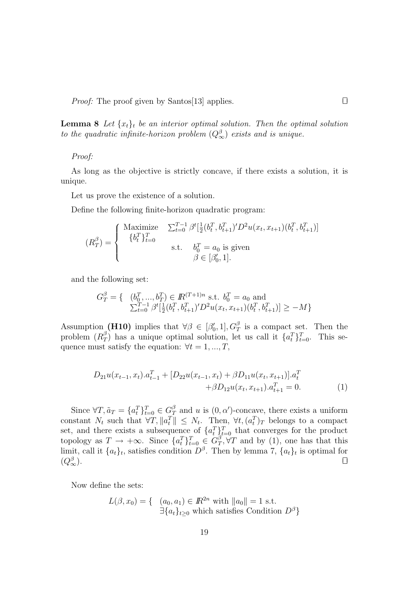*Proof:* The proof given by Santos[13] applies.  $\Box$ 

**Lemma 8** Let  $\{x_t\}_t$  be an interior optimal solution. Then the optimal solution to the quadratic infinite-horizon problem  $(Q_{\infty}^{\beta})$  exists and is unique.

### Proof:

As long as the objective is strictly concave, if there exists a solution, it is unique.

Let us prove the existence of a solution.

Define the following finite-horizon quadratic program:

$$
(R_T^{\beta}) = \begin{cases} \text{Maximize} & \sum_{t=0}^{T-1} \beta^t \left[ \frac{1}{2} (b_t^T, b_{t+1}^T)' D^2 u(x_t, x_{t+1}) (b_t^T, b_{t+1}^T) \right] \\ & \text{ s.t. } & b_0^T = a_0 \text{ is given} \\ & \beta \in [\beta'_0, 1]. \end{cases}
$$

and the following set:

$$
G_T^{\beta} = \{ \begin{array}{l} (b_0^T, ..., b_T^T) \in I\!\!R^{(T+1)n} \text{ s.t. } b_0^T = a_0 \text{ and} \\ \sum_{t=0}^{T-1} \beta^t [\frac{1}{2} (b_t^T, b_{t+1}^T) D^2 u(x_t, x_{t+1}) (b_t^T, b_{t+1}^T)] \ge -M \} \end{array}
$$

Assumption (H10) implies that  $\forall \beta \in [\beta'_0, 1], G_T^{\beta}$  is a compact set. Then the problem  $(R_{7}^{\beta})$  $T(T)$  has a unique optimal solution, let us call it  $\{a_t^T\}_{t=0}^T$ . This sequence must satisfy the equation:  $\forall t = 1, ..., T$ ,

$$
D_{21}u(x_{t-1},x_t).a_{t-1}^T + [D_{22}u(x_{t-1},x_t) + \beta D_{11}u(x_t,x_{t+1})].a_t^T
$$
  
 
$$
+\beta D_{12}u(x_t,x_{t+1}).a_{t+1}^T = 0.
$$
 (1)

Since  $\forall T, \tilde{a}_T = \{a_t^T\}_{t=0}^T \in G_T^{\beta}$  and u is  $(0, \alpha')$ -concave, there exists a uniform constant  $N_t$  such that  $\forall T, \|a_t^T\| \leq N_t$ . Then,  $\forall t, (a_t^T)_T$  belongs to a compact set, and there exists a subsequence of  $\{a_t^T\}_{t=0}^T$  that converges for the product topology as  $T \to +\infty$ . Since  $\{a_t^T\}_{t=0}^T \in G_T^{\beta}$  $T^{\beta}_{T}$ ,  $\forall T$  and by (1), one has that this limit, call it  $\{a_t\}_t$ , satisfies condition  $D^{\beta}$ . Then by lemma 7,  $\{a_t\}_t$  is optimal for  $(Q^{\beta}_{\infty}).$  $\overset{\beta}{\infty}$ ).

Now define the sets:

$$
L(\beta, x_0) = \{ \begin{array}{l} (a_0, a_1) \in \mathbb{R}^{2n} \text{ with } ||a_0|| = 1 \text{ s.t.} \\ \exists \{a_t\}_{t \ge 0} \text{ which satisfies Condition } D^{\beta} \} \end{array}
$$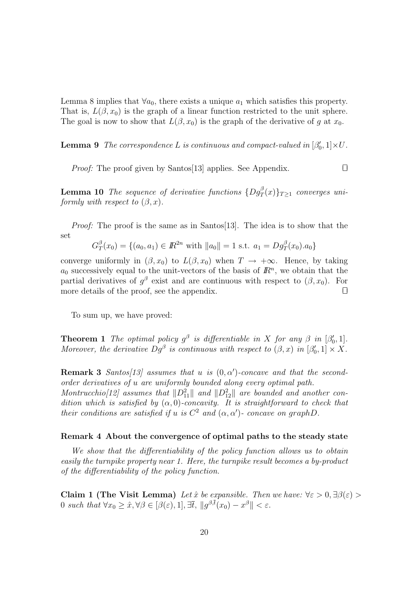Lemma 8 implies that  $\forall a_0$ , there exists a unique  $a_1$  which satisfies this property. That is,  $L(\beta, x_0)$  is the graph of a linear function restricted to the unit sphere. The goal is now to show that  $L(\beta, x_0)$  is the graph of the derivative of g at  $x_0$ .

**Lemma 9** The correspondence L is continuous and compact-valued in  $[\beta'_0, 1] \times U$ .

*Proof:* The proof given by Santos[13] applies. See Appendix.  $\square$ 

**Lemma 10** The sequence of derivative functions  $\{Dg_T^{\beta}(x)\}_{T\geq 1}$  converges uniformly with respect to  $(\beta, x)$ .

Proof: The proof is the same as in Santos[13]. The idea is to show that the set

$$
G_T^{\beta}(x_0) = \{(a_0, a_1) \in \mathbb{R}^{2n} \text{ with } ||a_0|| = 1 \text{ s.t. } a_1 = Dg_T^{\beta}(x_0).a_0\}
$$

converge uniformly in  $(\beta, x_0)$  to  $L(\beta, x_0)$  when  $T \to +\infty$ . Hence, by taking  $a_0$  successively equal to the unit-vectors of the basis of  $\mathbb{R}^n$ , we obtain that the partial derivatives of  $g^{\beta}$  exist and are continuous with respect to  $(\beta, x_0)$ . For more details of the proof, see the appendix.  $\Box$ 

To sum up, we have proved:

**Theorem 1** The optimal policy  $g^{\beta}$  is differentiable in X for any  $\beta$  in  $[\beta'_0, 1]$ . Moreover, the derivative  $Dg^{\beta}$  is continuous with respect to  $(\beta, x)$  in  $[\beta'_0, 1] \times X$ .

**Remark 3** Santos[13] assumes that u is  $(0, \alpha')$ -concave and that the secondorder derivatives of u are uniformly bounded along every optimal path. Montrucchio[12] assumes that  $||D_{11}^2||$  and  $||D_{12}^2||$  are bounded and another condition which is satisfied by  $(\alpha, 0)$ -concavity. It is straightforward to check that their conditions are satisfied if u is  $C^2$  and  $(\alpha, \alpha')$ - concave on graphD.

#### Remark 4 About the convergence of optimal paths to the steady state

We show that the differentiability of the policy function allows us to obtain easily the turnpike property near 1. Here, the turnpike result becomes a by-product of the differentiability of the policy function.

Claim 1 (The Visit Lemma) Let  $\hat{x}$  be expansible. Then we have:  $\forall \varepsilon > 0, \exists \beta(\varepsilon) >$ 0 such that  $\forall x_0 \geq \hat{x}, \forall \beta \in [\beta(\varepsilon), 1], \exists \bar{t}, ||g^{\beta, \bar{t}}(x_0) - x^{\beta}|| < \varepsilon$ .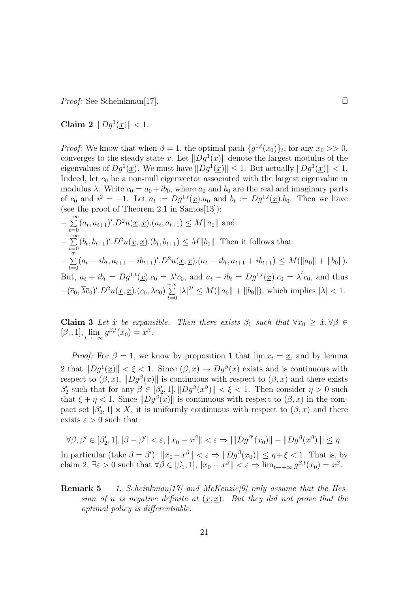*Proof:* See Scheinkman[17].

Claim 2  $\|Dg^1(\underline{x})\| < 1$ .

*Proof:* We know that when  $\beta = 1$ , the optimal path  $\{g^{1,t}(x_0)\}_t$ , for any  $x_0 >> 0$ , converges to the steady state x. Let  $||Dg^1(\underline{x})||$  denote the largest modulus of the eigenvalues of  $Dg^1(\underline{x})$ . We must have  $||Dg^1(\underline{x})|| \leq 1$ . But actually  $||Dg^1(\underline{x})|| < 1$ . Indeed, let  $c_0$  be a non-null eigenvector associated with the largest eigenvalue in modulus  $\lambda$ . Write  $c_0 = a_0 + ib_0$ , where  $a_0$  and  $b_0$  are the real and imaginary parts of  $c_0$  and  $i^2 = -1$ . Let  $a_t := Dg^{1,t}(\underline{x}) \cdot a_0$  and  $b_t := Dg^{1,t}(\underline{x}) \cdot b_0$ . Then we have (see the proof of Theorem 2.1 in Santos[13]):

$$
-\sum_{t=0}^{+\infty} (a_t, a_{t+1})'.D^2 u(\underline{x}, \underline{x}) . (a_t, a_{t+1}) \le M \|a_0\| \text{ and}
$$
  
\n
$$
-\sum_{t=0}^{+\infty} (b_t, b_{t+1})'.D^2 u(\underline{x}, \underline{x}) . (b_t, b_{t+1}) \le M \|b_0\|. \text{ Then it follows that:}
$$
  
\n
$$
-\sum_{t=0}^{T} (a_t - ib_t, a_{t+1} - ib_{t+1})'.D^2 u(\underline{x}, \underline{x}) . (a_t + ib_t, a_{t+1} + ib_{t+1}) \le M(\|a_0\| + \|b_0\|).
$$
  
\nBut,  $a_t + ib_t = Dg^{1,t}(\underline{x}) . c_0 = \lambda^t c_0$ , and  $a_t - ib_t = Dg^{1,t}(\underline{x}) . \overline{c}_0 = \overline{\lambda}^t \overline{c}_0$ , and thus  
\n
$$
-(\overline{c}_0, \overline{\lambda} \overline{c}_0)' .D^2 u(\underline{x}, \underline{x}) . (c_0, \lambda c_0) \sum_{t=0}^{+\infty} |\lambda|^{2t} \le M(\|a_0\| + \|b_0\|), \text{ which implies } |\lambda| < 1.
$$

Claim 3 Let  $\hat{x}$  be expansible. Then there exists  $\beta_1$  such that  $\forall x_0 \geq \hat{x}, \forall \beta \in$  $[\beta_1, 1], \lim_{t \to +\infty} g^{\beta, t}(x_0) = x^{\beta}.$ 

*Proof:* For  $\beta = 1$ , we know by proposition 1 that  $\lim_{t \to \infty} x_t = \underline{x}$ , and by lemma 2 that  $||Dg^1(\underline{x})|| < \xi < 1$ . Since  $(\beta, x) \to Dg^{\beta}(x)$  exists and is continuous with respect to  $(\beta, x)$ ,  $||Dg^{\beta}(x)||$  is continuous with respect to  $(\beta, x)$  and there exists  $\beta_2'$  such that for any  $\beta \in [\beta_2', 1], ||Dg^{\beta}(x^{\beta})|| < \xi < 1$ . Then consider  $\eta > 0$  such that  $\xi + \eta < 1$ . Since  $||Dg^{\beta}(x)||$  is continuous with respect to  $(\beta, x)$  in the compact set  $[\beta'_2, 1] \times X$ , it is uniformly continuous with respect to  $(\beta, x)$  and there exists  $\varepsilon > 0$  such that:

$$
\forall \beta, \beta' \in [\beta'_2, 1], |\beta - \beta'| < \varepsilon, \|x_0 - x^\beta\| < \varepsilon \Rightarrow \|\|Dg^{\beta'}(x_0)\| - \|Dg^{\beta}(x^\beta)\|\| \le \eta.
$$

In particular (take  $\beta = \beta'$ ):  $||x_0 - x^{\beta}|| < \varepsilon \Rightarrow ||Dg^{\beta}(x_0)|| \le \eta + \xi < 1$ . That is, by claim 2,  $\exists \varepsilon > 0$  such that  $\forall \beta \in [\beta_1, 1], ||x_0 - x^{\beta}|| < \varepsilon \Rightarrow \lim_{t \to +\infty} g^{\beta, t}(x_0) = x^{\beta}$ .

**Remark 5** 1. Scheinkman[17] and McKenzie[9] only assume that the Hessian of u is negative definite at  $(x, x)$ . But they did not prove that the optimal policy is differentiable.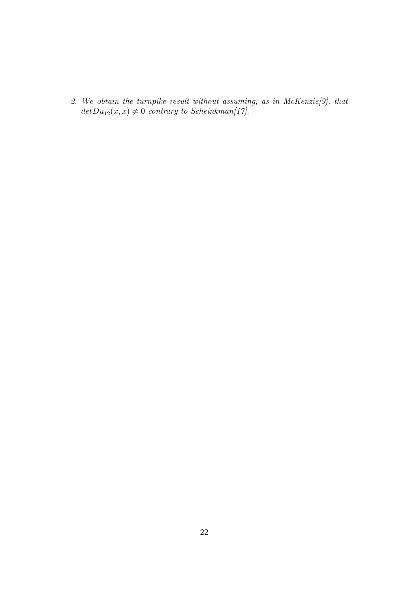2. We obtain the turnpike result without assuming, as in McKenzie[9], that  $detDu_{12}(\underline{x}, \underline{x})\neq 0$  contrary to Scheinkman[17].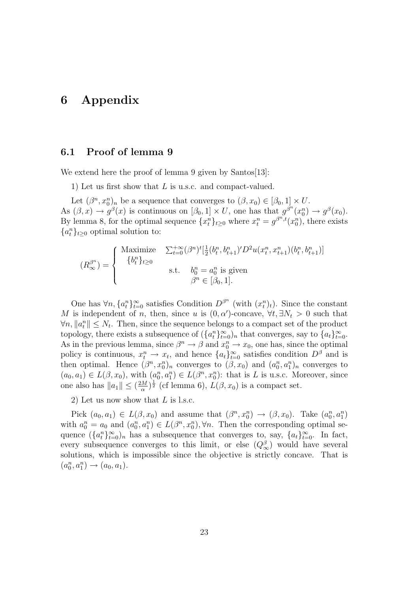## 6 Appendix

### 6.1 Proof of lemma 9

We extend here the proof of lemma 9 given by Santos[13]:

1) Let us first show that L is u.s.c. and compact-valued.

Let  $(\beta^n, x_0^n)_n$  be a sequence that converges to  $(\beta, x_0) \in [\beta_0, 1] \times U$ . As  $(\beta, x) \to g^{\beta}(x)$  is continuous on  $[\beta_0, 1] \times U$ , one has that  $g^{\beta^n}(x_0^n) \to g^{\beta}(x_0)$ . By lemma 8, for the optimal sequence  $\{x_t^n\}_{t\geq0}$  where  $x_t^n = g^{\beta^n,t}(x_0^n)$ , there exists  ${a^n_t}_{t\geq 0}$  optimal solution to:

$$
(R_{\infty}^{\beta^n}) = \begin{cases} \begin{array}{ll}\text{Maximize} & \sum_{t=0}^{+\infty} (\beta^n)^t [\frac{1}{2} (b_t^n, b_{t+1}^n)' D^2 u(x_t^n, x_{t+1}^n) (b_t^n, b_{t+1}^n)]\\ & \{b_t^n\}_{t \ge 0} \end{array}\\ \text{s.t.} & \begin{array}{ll}\text{if} & \beta^n = a_0^n \text{ is given} \\ & \beta^n \in [\beta_0, 1].\end{array}\end{cases}
$$

One has  $\forall n, \{a_t^n\}_{t=0}^{\infty}$  satisfies Condition  $D^{\beta^n}$  (with  $(x_t^n)_t$ ). Since the constant M is independent of n, then, since u is  $(0, \alpha')$ -concave,  $\forall t, \exists N_t > 0$  such that  $\forall n, \|a_i^n\| \leq N_t$ . Then, since the sequence belongs to a compact set of the product topology, there exists a subsequence of  $({a_t^n}_{t=0}^{\infty})_n$  that converges, say to  ${a_t}_{t=0}^{\infty}$ . As in the previous lemma, since  $\beta^n \to \beta$  and  $x_0^n \to x_0$ , one has, since the optimal policy is continuous,  $x_t^n \to x_t$ , and hence  $\{a_t\}_{t=0}^\infty$  satisfies condition  $D^\beta$  and is then optimal. Hence  $(\beta^n, x_0^n)_n$  converges to  $(\beta, x_0)$  and  $(a_0^n, a_1^n)_n$  converges to  $(a_0, a_1) \in L(\beta, x_0)$ , with  $(a_0^n, a_1^n) \in L(\beta^n, x_0^n)$ : that is L is u.s.c. Moreover, since one also has  $||a_1|| \leq (\frac{2M}{\alpha})$  $(\frac{1}{\alpha})^{\frac{1}{2}}$  (cf lemma 6),  $L(\beta, x_0)$  is a compact set.

2) Let us now show that L is l.s.c.

Pick  $(a_0, a_1) \in L(\beta, x_0)$  and assume that  $(\beta^n, x_0^n) \to (\beta, x_0)$ . Take  $(a_0^n, a_1^n)$ with  $a_0^n = a_0$  and  $(a_0^n, a_1^n) \in L(\beta^n, x_0^n)$ ,  $\forall n$ . Then the corresponding optimal sequence  $({a_i^n}_{t=0}^\infty)_n$  has a subsequence that converges to, say,  ${a_t}_{t=0}^\infty$ . In fact, every subsequence converges to this limit, or else  $(Q_{\infty}^{\beta})$  would have several solutions, which is impossible since the objective is strictly concave. That is  $(a_0^n, a_1^n) \to (a_0, a_1).$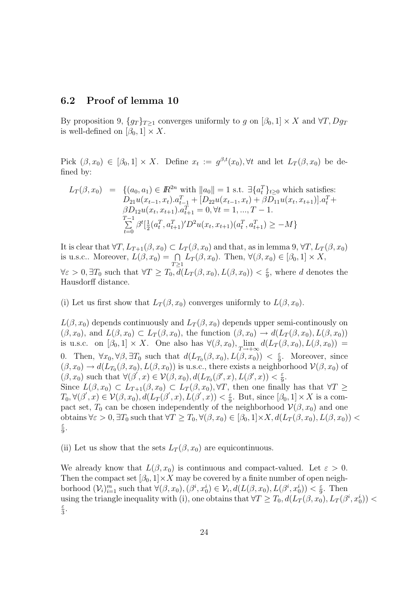### 6.2 Proof of lemma 10

By proposition 9,  $\{g_T\}_{T>1}$  converges uniformly to g on  $[\beta_0, 1] \times X$  and  $\forall T, Dg_T$ is well-defined on  $[\beta_0, 1] \times X$ .

Pick  $(\beta, x_0) \in [\beta_0, 1] \times X$ . Define  $x_t := g^{\beta, t}(x_0), \forall t$  and let  $L_T(\beta, x_0)$  be defined by:

$$
L_T(\beta, x_0) = \{ (a_0, a_1) \in \mathbb{R}^{2n} \text{ with } ||a_0|| = 1 \text{ s.t. } \exists \{a_t^T\}_{t \ge 0} \text{ which satisfies:}
$$
  
\n
$$
D_{21}u(x_{t-1}, x_t).a_{t-1}^T + [D_{22}u(x_{t-1}, x_t) + \beta D_{11}u(x_t, x_{t+1})].a_t^T +
$$
  
\n
$$
\beta D_{12}u(x_t, x_{t+1}).a_{t+1}^T = 0, \forall t = 1, ..., T - 1.
$$
  
\n
$$
\sum_{t=0}^{T-1} \beta^t [\frac{1}{2}(a_t^T, a_{t+1}^T)'D^2 u(x_t, x_{t+1})(a_t^T, a_{t+1}^T) \ge -M \}
$$

It is clear that  $\forall T, L_{T+1}(\beta, x_0) \subset L_T(\beta, x_0)$  and that, as in lemma 9,  $\forall T, L_T(\beta, x_0)$ is u.s.c.. Moreover,  $L(\beta, x_0) = \bigcap_{T \geq 1} L_T(\beta, x_0)$ . Then,  $\forall (\beta, x_0) \in [\beta_0, 1] \times X$ ,  $\forall \varepsilon > 0, \exists T_0 \text{ such that } \forall T \geq T_0, d(L_T(\beta, x_0), L(\beta, x_0)) < \frac{\varepsilon}{9}$  $\frac{\varepsilon}{9}$ , where d denotes the Hausdorff distance.

(i) Let us first show that  $L_T(\beta, x_0)$  converges uniformly to  $L(\beta, x_0)$ .

 $L(\beta, x_0)$  depends continuously and  $L_T(\beta, x_0)$  depends upper semi-continously on  $(\beta, x_0)$ , and  $L(\beta, x_0) \subset L_T(\beta, x_0)$ , the function  $(\beta, x_0) \to d(L_T(\beta, x_0), L(\beta, x_0))$ is u.s.c. on  $[\beta_0, 1] \times X$ . One also has  $\forall (\beta, x_0), \lim_{T \to +\infty} d(L_T(\beta, x_0), L(\beta, x_0)) =$ 0. Then,  $\forall x_0, \forall \beta, \exists T_0$  such that  $d(L_{T_0}(\beta, x_0), L(\beta, x_0)) < \frac{\varepsilon}{9}$  $\frac{\varepsilon}{9}$ . Moreover, since  $(\beta, x_0) \to d(L_{T_0}(\beta, x_0), L(\beta, x_0))$  is u.s.c., there exists a neighborhood  $\mathcal{V}(\beta, x_0)$  of  $(\beta, x_0)$  such that  $\forall (\beta', x) \in \mathcal{V}(\beta, x_0), d(L_{T_0}(\beta', x), L(\beta', x)) < \frac{\varepsilon}{9}$  $rac{\varepsilon}{9}$ . Since  $L(\beta, x_0) \subset L_{T+1}(\beta, x_0) \subset L_T(\beta, x_0)$ ,  $\forall T$ , then one finally has that  $\forall T \geq$  $T_0, \forall (\beta^{'},x) \in \mathcal{V}(\beta,x_0), d(L_T(\beta^{'},x),L(\beta^{'},x)) < \frac{\varepsilon}{9}$  $\frac{\varepsilon}{9}$ . But, since  $[\beta_0, 1] \times X$  is a compact set,  $T_0$  can be chosen independently of the neighborhood  $\mathcal{V}(\beta, x_0)$  and one obtains  $\forall \varepsilon > 0$ ,  $\exists T_0$  such that  $\forall T \geq T_0$ ,  $\forall (\beta, x_0) \in [\beta_0, 1] \times X$ ,  $d(L_T(\beta, x_0), L(\beta, x_0))$ ε  $rac{\varepsilon}{9}$ .

(ii) Let us show that the sets  $L_T(\beta, x_0)$  are equicontinuous.

We already know that  $L(\beta, x_0)$  is continuous and compact-valued. Let  $\varepsilon > 0$ . Then the compact set  $[\beta_0, 1] \times X$  may be covered by a finite number of open neighborhood  $(\mathcal{V}_i)_{i=1}^m$  such that  $\forall (\beta, x_0), (\beta^i, x_0^i) \in \mathcal{V}_i, d(L(\beta, x_0), L(\beta^i, x_0^i)) < \frac{\varepsilon}{9}$  $\frac{\varepsilon}{9}$ . Then using the triangle inequality with (i), one obtains that  $\forall T \geq T_0, d(L_T(\beta, x_0), L_T(\beta^i, x_0^i))$ ε  $\frac{\varepsilon}{3}$ .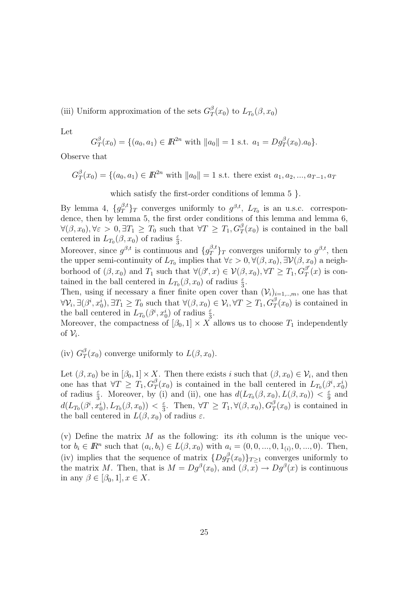(iii) Uniform approximation of the sets  $G_T^{\beta}$  $T(T_0)$  to  $L_{T_0}(\beta, x_0)$ 

Let

$$
G_T^{\beta}(x_0) = \{(a_0, a_1) \in \mathbb{R}^{2n} \text{ with } ||a_0|| = 1 \text{ s.t. } a_1 = Dg_T^{\beta}(x_0).a_0\}.
$$

Observe that

$$
G_T^{\beta}(x_0) = \{(a_0, a_1) \in \mathbb{R}^{2n} \text{ with } ||a_0|| = 1 \text{ s.t. there exist } a_1, a_2, ..., a_{T-1}, a_T\}
$$

which satisfy the first-order conditions of lemma 5 }.

By lemma 4,  $\{g_T^{\beta,t}\}_T$  converges uniformly to  $g^{\beta,t}$ ,  $L_{T_0}$  is an u.s.c. correspondence, then by lemma 5, the first order conditions of this lemma and lemma 6,  $\forall (\beta, x_0), \forall \varepsilon > 0, \exists T_1 \geq T_0$  such that  $\forall T \geq T_1, G_T^{\beta}(x_0)$  is contained in the ball centered in  $L_{T_0}(\beta, x_0)$  of radius  $\frac{\varepsilon}{3}$ .

Moreover, since  $g^{\beta,t}$  is continuous and  $\{g_T^{\beta,t}\}_T$  converges uniformly to  $g^{\beta,t}$ , then the upper semi-continuity of  $L_{T_0}$  implies that  $\forall \varepsilon > 0, \forall (\beta, x_0), \exists \mathcal{V}(\beta, x_0)$  a neighborhood of  $(\beta, x_0)$  and  $T_1$  such that  $\forall (\beta', x) \in \mathcal{V}(\beta, x_0), \forall T \geq T_1, G_T^{\beta'}$  $T(T)$  is contained in the ball centered in  $L_{T_0}(\beta, x_0)$  of radius  $\frac{\varepsilon}{3}$ .

Then, using if necessary a finer finite open cover than  $(\mathcal{V}_i)_{i=1,\dots,m}$ , one has that  $\forall \mathcal{V}_i, \exists (\beta^i, x_0^i), \exists T_1 \geq T_0 \text{ such that } \forall (\beta, x_0) \in \mathcal{V}_i, \forall T \geq T_1, G_T^{\beta}(x_0) \text{ is contained in }$ the ball centered in  $L_{T_0}(\beta^i, x_0^i)$  of radius  $\frac{\varepsilon}{3}$ .

Moreover, the compactness of  $[\beta_0, 1] \times X$  allows us to choose  $T_1$  independently of  $\mathcal{V}_i$ .

(iv)  $G_7^{\beta}$  $T(T(x_0)$  converge uniformly to  $L(\beta, x_0)$ .

Let  $(\beta, x_0)$  be in  $[\beta_0, 1] \times X$ . Then there exists i such that  $(\beta, x_0) \in \mathcal{V}_i$ , and then one has that  $\forall T \geq T_1, G_T^{\beta}(x_0)$  is contained in the ball centered in  $L_{T_0}(\beta^i, x_0^i)$ of radius  $\frac{\varepsilon}{3}$ . Moreover, by (i) and (ii), one has  $d(L_{T_0}(\beta, x_0), L(\beta, x_0)) < \frac{\varepsilon}{9}$  $rac{\varepsilon}{9}$  and  $d(L_{T_0}(\beta^i,x_0^i),L_{T_0}(\beta,x_0)) < \frac{\varepsilon}{3}$  $\frac{\varepsilon}{3}$ . Then,  $\forall T \geq T_1, \forall (\beta, x_0), G_T^{\beta}(x_0)$  is contained in the ball centered in  $L(\beta, x_0)$  of radius  $\varepsilon$ .

(v) Define the matrix  $M$  as the following: its *i*th column is the unique vector  $b_i \in \mathbb{R}^n$  such that  $(a_i, b_i) \in L(\beta, x_0)$  with  $a_i = (0, 0, ..., 0, 1_{(i)}, 0, ..., 0)$ . Then, (iv) implies that the sequence of matrix  $\{Dg_T^{\beta}(x_0)\}_{T\geq 1}$  converges uniformly to the matrix M. Then, that is  $M = Dg^{\beta}(x_0)$ , and  $(\beta, x) \to Dg^{\beta}(x)$  is continuous in any  $\beta \in [\beta_0, 1], x \in X$ .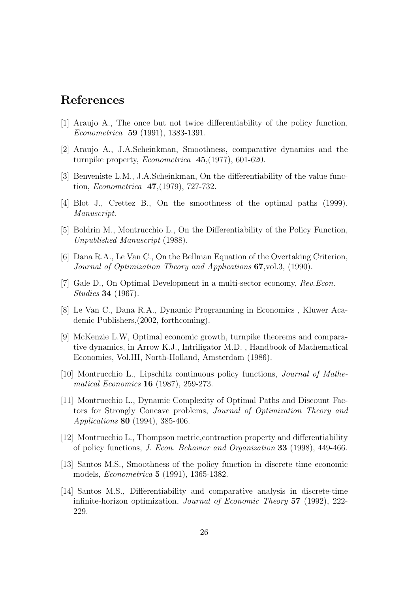## References

- [1] Araujo A., The once but not twice differentiability of the policy function, Econometrica 59 (1991), 1383-1391.
- [2] Araujo A., J.A.Scheinkman, Smoothness, comparative dynamics and the turnpike property, Econometrica 45,(1977), 601-620.
- [3] Benveniste L.M., J.A.Scheinkman, On the differentiability of the value function, Econometrica 47,(1979), 727-732.
- [4] Blot J., Crettez B., On the smoothness of the optimal paths (1999), Manuscript.
- [5] Boldrin M., Montrucchio L., On the Differentiability of the Policy Function, Unpublished Manuscript (1988).
- [6] Dana R.A., Le Van C., On the Bellman Equation of the Overtaking Criterion, Journal of Optimization Theory and Applications 67,vol.3, (1990).
- [7] Gale D., On Optimal Development in a multi-sector economy, Rev.Econ. Studies 34 (1967).
- [8] Le Van C., Dana R.A., Dynamic Programming in Economics , Kluwer Academic Publishers,(2002, forthcoming).
- [9] McKenzie L.W, Optimal economic growth, turnpike theorems and comparative dynamics, in Arrow K.J., Intriligator M.D. , Handbook of Mathematical Economics, Vol.III, North-Holland, Amsterdam (1986).
- [10] Montrucchio L., Lipschitz continuous policy functions, Journal of Mathematical Economics 16 (1987), 259-273.
- [11] Montrucchio L., Dynamic Complexity of Optimal Paths and Discount Factors for Strongly Concave problems, Journal of Optimization Theory and Applications 80 (1994), 385-406.
- [12] Montrucchio L., Thompson metric,contraction property and differentiability of policy functions, J. Econ. Behavior and Organization 33 (1998), 449-466.
- [13] Santos M.S., Smoothness of the policy function in discrete time economic models, Econometrica 5 (1991), 1365-1382.
- [14] Santos M.S., Differentiability and comparative analysis in discrete-time infinite-horizon optimization, Journal of Economic Theory 57 (1992), 222- 229.